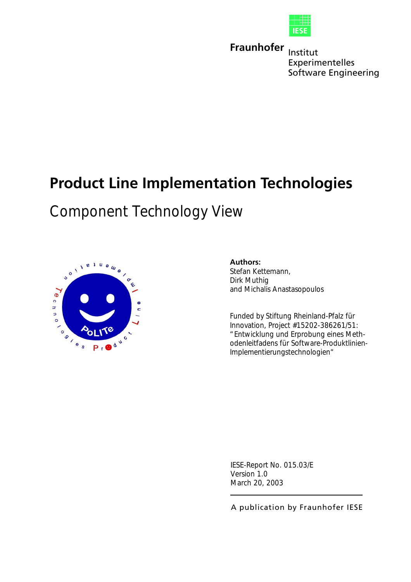

**Fraunhofer** Institut Experimentelles Software Engineering

# **Product Line Implementation Technologies**

# Component Technology View



# **Authors:**

Stefan Kettemann, Dirk Muthig and Michalis Anastasopoulos

Funded by Stiftung Rheinland-Pfalz für Innovation, Project #15202-386261/51: "Entwicklung und Erprobung eines Methodenleitfadens für Software-Produktlinien-Implementierungstechnologien"

IESE-Report No. 015.03/E Version 1.0 March 20, 2003

A publication by Fraunhofer IESE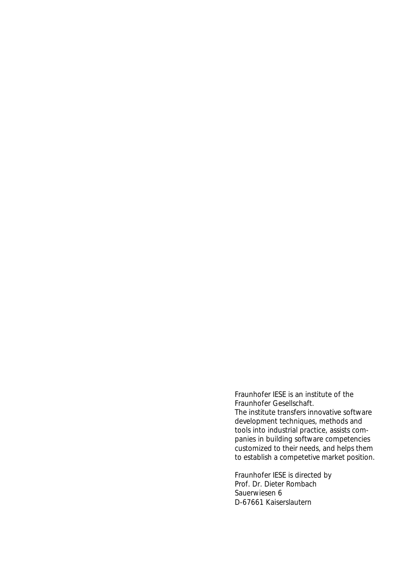Fraunhofer IESE is an institute of the Fraunhofer Gesellschaft. The institute transfers innovative software development techniques, methods and tools into industrial practice, assists companies in building software competencies customized to their needs, and helps them to establish a competetive market position.

Fraunhofer IESE is directed by Prof. Dr. Dieter Rombach Sauerwiesen 6 D-67661 Kaiserslautern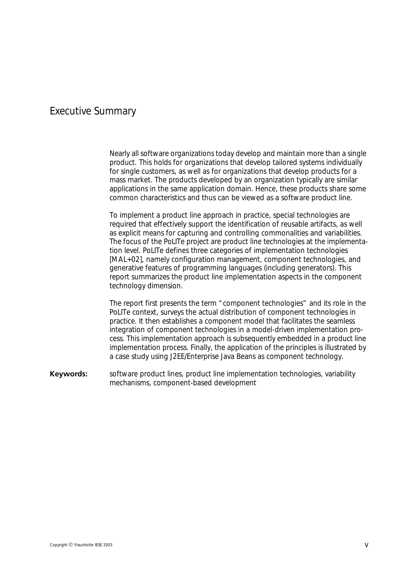# Executive Summary

Nearly all software organizations today develop and maintain more than a single product. This holds for organizations that develop tailored systems individually for single customers, as well as for organizations that develop products for a mass market. The products developed by an organization typically are similar applications in the same application domain. Hence, these products share some common characteristics and thus can be viewed as a software product line.

To implement a product line approach in practice, special technologies are required that effectively support the identification of reusable artifacts, as well as explicit means for capturing and controlling commonalities and variabilities. The focus of the PoLITe project are product line technologies at the implementation level. PoLITe defines three categories of implementation technologies [MAL+02], namely configuration management, component technologies, and generative features of programming languages (including generators). This report summarizes the product line implementation aspects in the component technology dimension.

The report first presents the term "component technologies" and its role in the PoLITe context, surveys the actual distribution of component technologies in practice. It then establishes a component model that facilitates the seamless integration of component technologies in a model-driven implementation process. This implementation approach is subsequently embedded in a product line implementation process. Finally, the application of the principles is illustrated by a case study using J2EE/Enterprise Java Beans as component technology.

**Keywords:** software product lines, product line implementation technologies, variability mechanisms, component-based development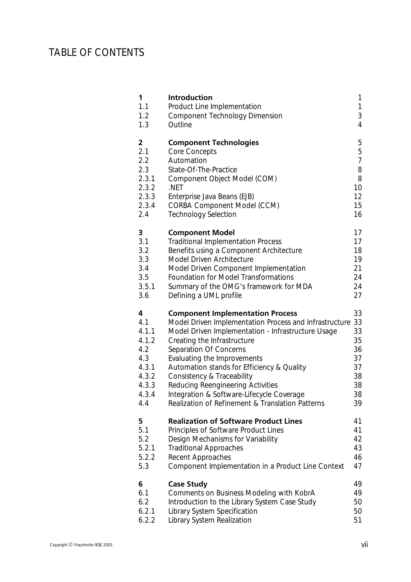# TABLE OF CONTENTS

| 1     | <b>Introduction</b>                                    | 1              |
|-------|--------------------------------------------------------|----------------|
| 1.1   | Product Line Implementation                            | $\mathbf 1$    |
| 1.2   | <b>Component Technology Dimension</b>                  | 3              |
| 1.3   | Outline                                                | $\overline{4}$ |
| 2     | <b>Component Technologies</b>                          | 5              |
| 2.1   | <b>Core Concepts</b>                                   | 5              |
| 2.2   | Automation                                             | $\overline{7}$ |
| 2.3   | State-Of-The-Practice                                  | 8              |
| 2.3.1 | Component Object Model (COM)                           | 8              |
| 2.3.2 | .NET                                                   | 10             |
| 2.3.3 | Enterprise Java Beans (EJB)                            | 12             |
| 2.3.4 | <b>CORBA Component Model (CCM)</b>                     | 15             |
| 2.4   | <b>Technology Selection</b>                            | 16             |
| 3     | <b>Component Model</b>                                 | 17             |
| 3.1   | <b>Traditional Implementation Process</b>              | 17             |
| 3.2   | Benefits using a Component Architecture                | 18             |
| 3.3   | Model Driven Architecture                              | 19             |
| 3.4   | Model Driven Component Implementation                  | 21             |
| 3.5   | Foundation for Model Transformations                   | 24             |
| 3.5.1 | Summary of the OMG's framework for MDA                 | 24             |
| 3.6   | Defining a UML profile                                 | 27             |
| 4     | <b>Component Implementation Process</b>                | 33             |
| 4.1   | Model Driven Implementation Process and Infrastructure | 33             |
| 4.1.1 | Model Driven Implementation - Infrastructure Usage     | 33             |
| 4.1.2 | Creating the Infrastructure                            | 35             |
| 4.2   | Separation Of Concerns                                 | 36             |
| 4.3   | Evaluating the Improvements                            | 37             |
| 4.3.1 | Automation stands for Efficiency & Quality             | 37             |
| 4.3.2 | Consistency & Traceability                             | 38             |
| 4.3.3 | Reducing Reengineering Activities                      | 38             |
| 4.3.4 | Integration & Software-Lifecycle Coverage              | 38             |
| 4.4   | Realization of Refinement & Translation Patterns       | 39             |
| 5     | <b>Realization of Software Product Lines</b>           | 41             |
| 5.1   | Principles of Software Product Lines                   | 41             |
| 5.2   | Design Mechanisms for Variability                      | 42             |
| 5.2.1 | <b>Traditional Approaches</b>                          | 43             |
| 5.2.2 | Recent Approaches                                      | 46             |
| 5.3   | Component Implementation in a Product Line Context     | 47             |
| 6     | <b>Case Study</b>                                      | 49             |
| 6.1   | Comments on Business Modeling with KobrA               | 49             |
| 6.2   | Introduction to the Library System Case Study          | 50             |
| 6.2.1 | Library System Specification                           | 50             |
| 6.2.2 | Library System Realization                             | 51             |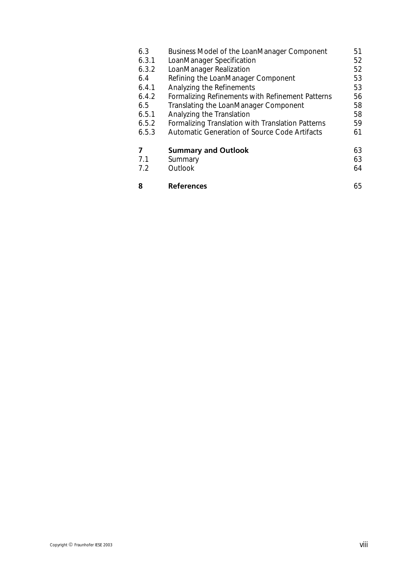| 8              | <b>References</b>                                                                                  | 65       |
|----------------|----------------------------------------------------------------------------------------------------|----------|
| 7.1<br>7.2     | Summary<br>Outlook                                                                                 | 63<br>64 |
| 7              | <b>Summary and Outlook</b>                                                                         | 63       |
| 6.5.3          | Formalizing Translation with Translation Patterns<br>Automatic Generation of Source Code Artifacts | 61       |
| 6.5.1<br>6.5.2 | Analyzing the Translation                                                                          | 58<br>59 |
| 6.5            | Translating the LoanManager Component                                                              | 58       |
| 6.4.2          | Formalizing Refinements with Refinement Patterns                                                   | 56       |
| 6.4.1          | Analyzing the Refinements                                                                          | 53       |
| 6.4            | Refining the LoanManager Component                                                                 | 53       |
| 6.3.2          | LoanManager Realization                                                                            | 52       |
| 6.3.1          | LoanManager Specification                                                                          | 52       |
| 6.3            | Business Model of the LoanManager Component                                                        | 51       |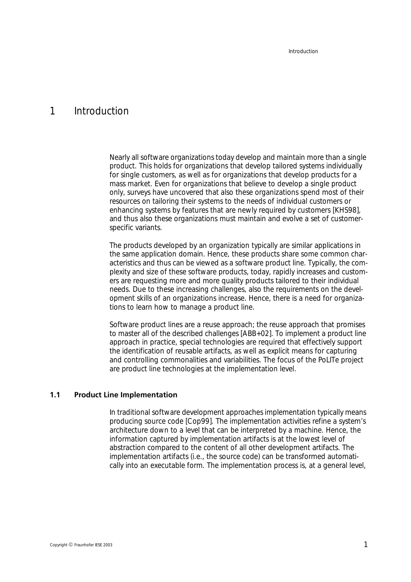# 1 Introduction

Nearly all software organizations today develop and maintain more than a single product. This holds for organizations that develop tailored systems individually for single customers, as well as for organizations that develop products for a mass market. Even for organizations that believe to develop a single product only, surveys have uncovered that also these organizations spend most of their resources on tailoring their systems to the needs of individual customers or enhancing systems by features that are newly required by customers [KHS98], and thus also these organizations must maintain and evolve a set of customerspecific variants.

The products developed by an organization typically are similar applications in the same application domain. Hence, these products share some common characteristics and thus can be viewed as a software product line. Typically, the complexity and size of these software products, today, rapidly increases and customers are requesting more and more quality products tailored to their individual needs. Due to these increasing challenges, also the requirements on the development skills of an organizations increase. Hence, there is a need for organizations to learn how to manage a product line.

Software product lines are a reuse approach; the reuse approach that promises to master all of the described challenges [ABB+02]. To implement a product line approach in practice, special technologies are required that effectively support the identification of reusable artifacts, as well as explicit means for capturing and controlling commonalities and variabilities. The focus of the PoLITe project are product line technologies at the implementation level.

#### **1.1 Product Line Implementation**

In traditional software development approaches implementation typically means producing source code [Cop99]. The implementation activities refine a system's architecture down to a level that can be interpreted by a machine. Hence, the information captured by implementation artifacts is at the lowest level of abstraction compared to the content of all other development artifacts. The implementation artifacts (i.e., the source code) can be transformed automatically into an executable form. The implementation process is, at a general level,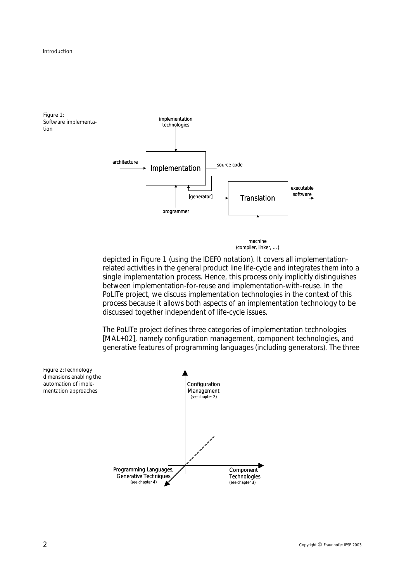

depicted in Figure 1 (using the IDEF0 notation). It covers all implementationrelated activities in the general product line life-cycle and integrates them into a single implementation process. Hence, this process only implicitly distinguishes between implementation-for-reuse and implementation-with-reuse. In the PoLITe project, we discuss implementation technologies in the context of this process because it allows both aspects of an implementation technology to be discussed together independent of life-cycle issues.

The PoLITe project defines three categories of implementation technologies [MAL+02], namely configuration management, component technologies, and generative features of programming languages (including generators). The three

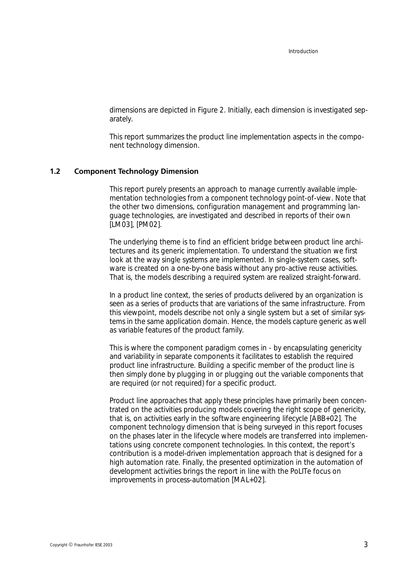dimensions are depicted in Figure 2. Initially, each dimension is investigated separately.

This report summarizes the product line implementation aspects in the component technology dimension.

#### **1.2 Component Technology Dimension**

This report purely presents an approach to manage currently available implementation technologies from a component technology point-of-view. Note that the other two dimensions, configuration management and programming language technologies, are investigated and described in reports of their own [LM03], [PM02].

The underlying theme is to find an efficient bridge between product line architectures and its generic implementation. To understand the situation we first look at the way single systems are implemented. In single-system cases, software is created on a one-by-one basis without any pro-active reuse activities. That is, the models describing a required system are realized straight-forward.

In a product line context, the series of products delivered by an organization is seen as a series of products that are variations of the same infrastructure. From this viewpoint, models describe not only a single system but a set of similar systems in the same application domain. Hence, the models capture generic as well as variable features of the product family.

This is where the component paradigm comes in - by encapsulating genericity and variability in separate components it facilitates to establish the required product line infrastructure. Building a specific member of the product line is then simply done by plugging in or plugging out the variable components that are required (or not required) for a specific product.

Product line approaches that apply these principles have primarily been concentrated on the activities producing models covering the right scope of genericity, that is, on activities early in the software engineering lifecycle [ABB+02]. The component technology dimension that is being surveyed in this report focuses on the phases later in the lifecycle where models are transferred into implementations using concrete component technologies. In this context, the report's contribution is a model-driven implementation approach that is designed for a high automation rate. Finally, the presented optimization in the automation of development activities brings the report in line with the PoLITe focus on improvements in process-automation [MAL+02].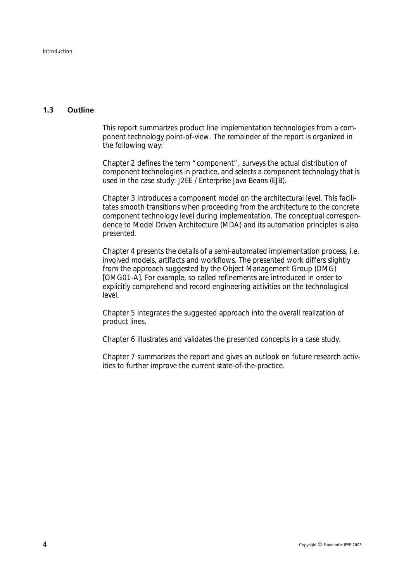# **1.3 Outline**

This report summarizes product line implementation technologies from a component technology point-of-view. The remainder of the report is organized in the following way:

Chapter 2 defines the term "component", surveys the actual distribution of component technologies in practice, and selects a component technology that is used in the case study: J2EE / Enterprise Java Beans (EJB).

Chapter 3 introduces a component model on the architectural level. This facilitates smooth transitions when proceeding from the architecture to the concrete component technology level during implementation. The conceptual correspondence to Model Driven Architecture (MDA) and its automation principles is also presented.

Chapter 4 presents the details of a semi-automated implementation process, i.e. involved models, artifacts and workflows. The presented work differs slightly from the approach suggested by the Object Management Group (OMG) [OMG01-A]. For example, so called refinements are introduced in order to explicitly comprehend and record engineering activities on the technological level.

Chapter 5 integrates the suggested approach into the overall realization of product lines.

Chapter 6 illustrates and validates the presented concepts in a case study.

Chapter 7 summarizes the report and gives an outlook on future research activities to further improve the current state-of-the-practice.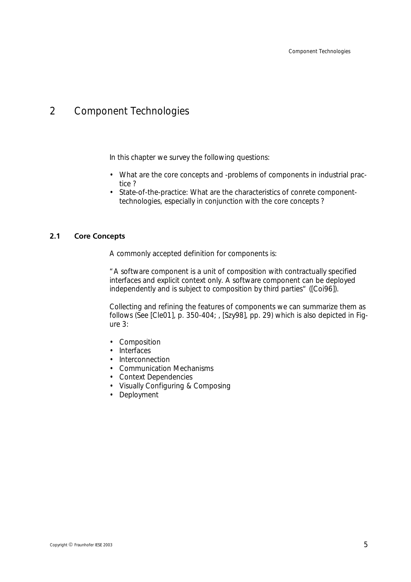# 2 Component Technologies

In this chapter we survey the following questions:

- What are the core concepts and -problems of components in industrial practice ?
- State-of-the-practice: What are the characteristics of conrete componenttechnologies, especially in conjunction with the core concepts ?

# **2.1 Core Concepts**

A commonly accepted definition for components is:

"A software component is a unit of composition with contractually specified interfaces and explicit context only. A software component can be deployed independently and is subject to composition by third parties" ([Coi96]).

Collecting and refining the features of components we can summarize them as follows (See [Cle01], p. 350-404; , [Szy98], pp. 29) which is also depicted in Figure 3:

- Composition
- Interfaces
- Interconnection
- Communication Mechanisms
- Context Dependencies
- Visually Configuring & Composing
- Deployment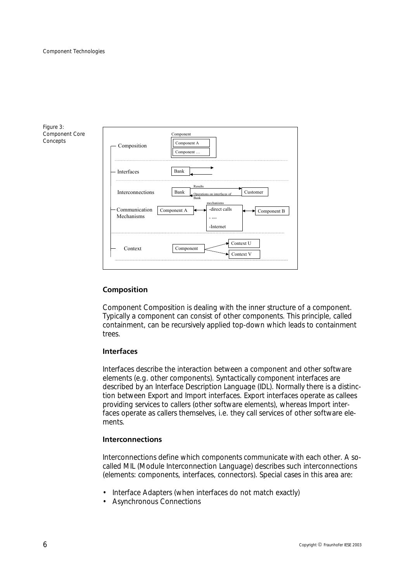Figure 3:

Concepts



# **Composition**

Component Composition is dealing with the inner structure of a component. Typically a component can consist of other components. This principle, called containment, can be recursively applied top-down which leads to containment trees.

#### **Interfaces**

Interfaces describe the interaction between a component and other software elements (e.g. other components). Syntactically component interfaces are described by an Interface Description Language (IDL). Normally there is a distinction between Export and Import interfaces. Export interfaces operate as callees providing services to callers (other software elements), whereas Import interfaces operate as callers themselves, i.e. they call services of other software elements.

#### **Interconnections**

Interconnections define which components communicate with each other. A socalled MIL (Module Interconnection Language) describes such interconnections (elements: components, interfaces, connectors). Special cases in this area are:

- Interface Adapters (when interfaces do not match exactly)
- Asynchronous Connections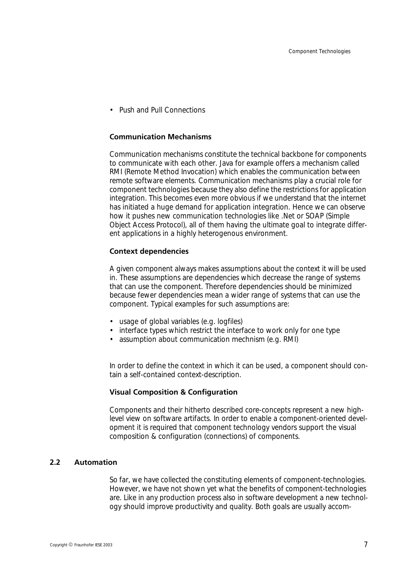• Push and Pull Connections

#### **Communication Mechanisms**

Communication mechanisms constitute the technical backbone for components to communicate with each other. Java for example offers a mechanism called RMI (Remote Method Invocation) which enables the communication between remote software elements. Communication mechanisms play a crucial role for component technologies because they also define the restrictions for application integration. This becomes even more obvious if we understand that the internet has initiated a huge demand for application integration. Hence we can observe how it pushes new communication technologies like .Net or SOAP (Simple Object Access Protocol), all of them having the ultimate goal to integrate different applications in a highly heterogenous environment.

#### **Context dependencies**

A given component always makes assumptions about the context it will be used in. These assumptions are dependencies which decrease the range of systems that can use the component. Therefore dependencies should be minimized because fewer dependencies mean a wider range of systems that can use the component. Typical examples for such assumptions are:

- usage of global variables (e.g. logfiles)
- interface types which restrict the interface to work only for one type
- assumption about communication mechnism (e.g. RMI)

In order to define the context in which it can be used, a component should contain a self-contained context-description.

#### **Visual Composition & Configuration**

Components and their hitherto described core-concepts represent a new highlevel view on software artifacts. In order to enable a component-oriented development it is required that component technology vendors support the visual composition & configuration (connections) of components.

# **2.2 Automation**

So far, we have collected the constituting elements of component-technologies. However, we have not shown yet what the benefits of component-technologies are. Like in any production process also in software development a new technology should improve productivity and quality. Both goals are usually accom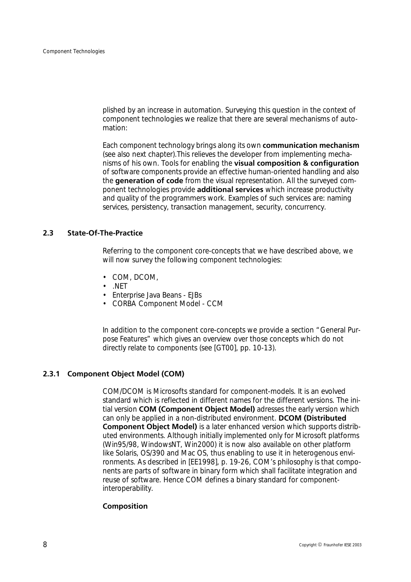plished by an increase in automation. Surveying this question in the context of component technologies we realize that there are several mechanisms of automation:

Each component technology brings along its own **communication mechanism** (see also next chapter).This relieves the developer from implementing mechanisms of his own. Tools for enabling the **visual composition & configuration** of software components provide an effective human-oriented handling and also the **generation of code** from the visual representation. All the surveyed component technologies provide **additional services** which increase productivity and quality of the programmers work. Examples of such services are: naming services, persistency, transaction management, security, concurrency.

# **2.3 State-Of-The-Practice**

Referring to the component core-concepts that we have described above, we will now survey the following component technologies:

- COM, DCOM,
- .NET
- Enterprise Java Beans EJBs
- CORBA Component Model CCM

In addition to the component core-concepts we provide a section "General Purpose Features" which gives an overview over those concepts which do not directly relate to components (see [GT00], pp. 10-13).

# **2.3.1 Component Object Model (COM)**

COM/DCOM is Microsofts standard for component-models. It is an evolved standard which is reflected in different names for the different versions. The initial version **COM (Component Object Model)** adresses the early version which can only be applied in a non-distributed environment. **DCOM (Distributed Component Object Model)** is a later enhanced version which supports distributed environments. Although initially implemented only for Microsoft platforms (Win95/98, WindowsNT, Win2000) it is now also available on other platform like Solaris, OS/390 and Mac OS, thus enabling to use it in heterogenous environments. As described in [EE1998], p. 19-26, COM's philosophy is that components are parts of software in binary form which shall facilitate integration and reuse of software. Hence COM defines a binary standard for componentinteroperability.

#### **Composition**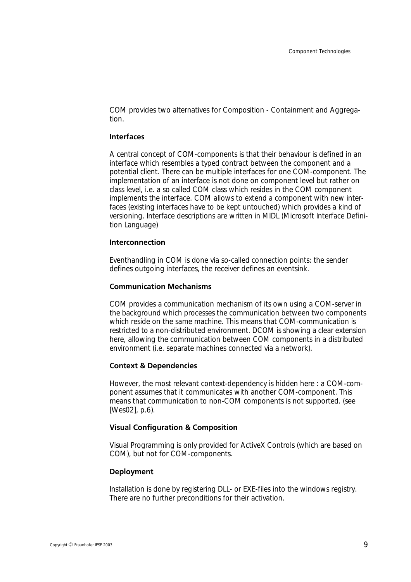COM provides two alternatives for Composition - Containment and Aggregation.

# **Interfaces**

A central concept of COM-components is that their behaviour is defined in an interface which resembles a typed contract between the component and a potential client. There can be multiple interfaces for one COM-component. The implementation of an interface is not done on component level but rather on class level, i.e. a so called COM class which resides in the COM component implements the interface. COM allows to extend a component with new interfaces (existing interfaces have to be kept untouched) which provides a kind of versioning. Interface descriptions are written in MIDL (Microsoft Interface Definition Language)

#### **Interconnection**

Eventhandling in COM is done via so-called connection points: the sender defines outgoing interfaces, the receiver defines an eventsink.

#### **Communication Mechanisms**

COM provides a communication mechanism of its own using a COM-server in the background which processes the communication between two components which reside on the same machine. This means that COM-communication is restricted to a non-distributed environment. DCOM is showing a clear extension here, allowing the communication between COM components in a distributed environment (i.e. separate machines connected via a network).

#### **Context & Dependencies**

However, the most relevant context-dependency is hidden here : a COM-component assumes that it communicates with another COM-component. This means that communication to non-COM components is not supported. (see [Wes02], p.6).

#### **Visual Configuration & Composition**

Visual Programming is only provided for ActiveX Controls (which are based on COM), but not for COM-components.

#### **Deployment**

Installation is done by registering DLL- or EXE-files into the windows registry. There are no further preconditions for their activation.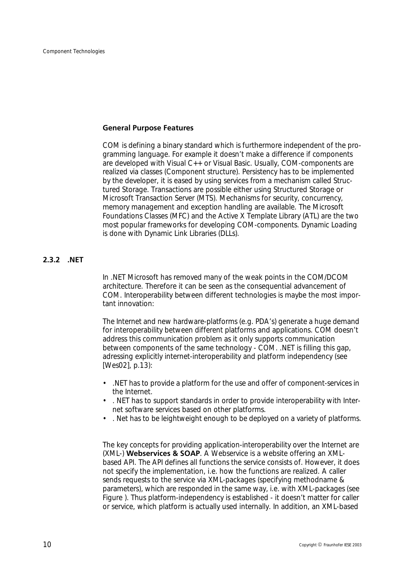#### **General Purpose Features**

COM is defining a binary standard which is furthermore independent of the programming language. For example it doesn't make a difference if components are developed with Visual C++ or Visual Basic. Usually, COM-components are realized via classes (Component structure). Persistency has to be implemented by the developer, it is eased by using services from a mechanism called Structured Storage. Transactions are possible either using Structured Storage or Microsoft Transaction Server (MTS). Mechanisms for security, concurrency, memory management and exception handling are available. The Microsoft Foundations Classes (MFC) and the Active X Template Library (ATL) are the two most popular frameworks for developing COM-components. Dynamic Loading is done with Dynamic Link Libraries (DLLs).

# **2.3.2 .NET**

In .NET Microsoft has removed many of the weak points in the COM/DCOM architecture. Therefore it can be seen as the consequential advancement of COM. Interoperability between different technologies is maybe the most important innovation:

The Internet and new hardware-platforms (e.g. PDA's) generate a huge demand for interoperability between different platforms and applications. COM doesn't address this communication problem as it only supports communication between components of the same technology - COM. .NET is filling this gap, adressing explicitly internet-interoperability and platform independency (see [Wes02], p.13):

- .NET has to provide a platform for the use and offer of component-services in the Internet.
- . NET has to support standards in order to provide interoperability with Internet software services based on other platforms.
- . Net has to be leightweight enough to be deployed on a variety of platforms.

The key concepts for providing application-interoperability over the Internet are (XML-) **Webservices & SOAP**. A Webservice is a website offering an XMLbased API. The API defines all functions the service consists of. However, it does not specify the implementation, i.e. how the functions are realized. A caller sends requests to the service via XML-packages (specifying methodname & parameters), which are responded in the same way, i.e. with XML-packages (see Figure ). Thus platform-independency is established - it doesn't matter for caller or service, which platform is actually used internally. In addition, an XML-based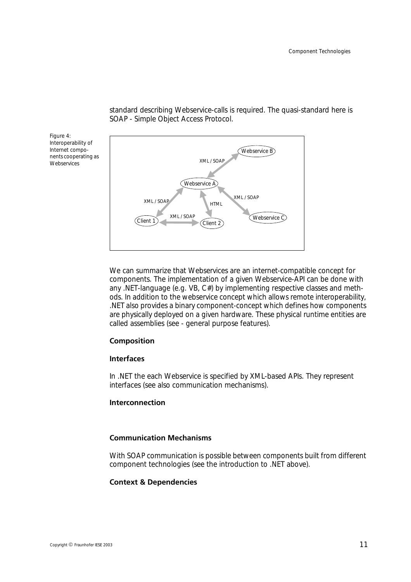

standard describing Webservice-calls is required. The quasi-standard here is SOAP - Simple Object Access Protocol.

We can summarize that Webservices are an internet-compatible concept for components. The implementation of a given Webservice-API can be done with any .NET-language (e.g. VB, C#) by implementing respective classes and methods. In addition to the webservice concept which allows remote interoperability, .NET also provides a binary component-concept which defines how components are physically deployed on a given hardware. These physical runtime entities are called assemblies (see - general purpose features).

# **Composition**

# **Interfaces**

In .NET the each Webservice is specified by XML-based APIs. They represent interfaces (see also communication mechanisms).

# **Interconnection**

# **Communication Mechanisms**

With SOAP communication is possible between components built from different component technologies (see the introduction to .NET above).

# **Context & Dependencies**

Figure 4: Interoperability of Internet compo-

Webservices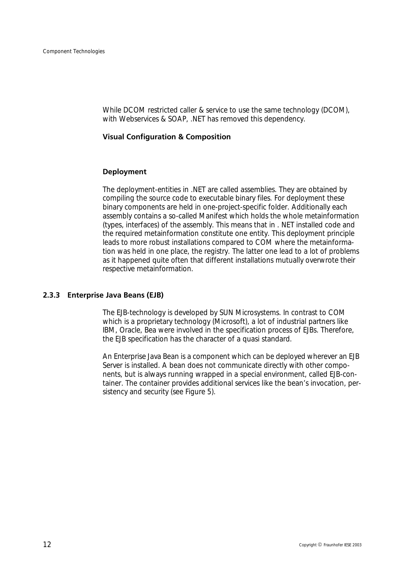While DCOM restricted caller & service to use the same technology (DCOM), with Webservices & SOAP, .NET has removed this dependency.

# **Visual Configuration & Composition**

# **Deployment**

The deployment-entities in .NET are called assemblies. They are obtained by compiling the source code to executable binary files. For deployment these binary components are held in one-project-specific folder. Additionally each assembly contains a so-called Manifest which holds the whole metainformation (types, interfaces) of the assembly. This means that in . NET installed code and the required metainformation constitute one entity. This deployment principle leads to more robust installations compared to COM where the metainformation was held in one place, the registry. The latter one lead to a lot of problems as it happened quite often that different installations mutually overwrote their respective metainformation.

# **2.3.3 Enterprise Java Beans (EJB)**

The EJB-technology is developed by SUN Microsystems. In contrast to COM which is a proprietary technology (Microsoft), a lot of industrial partners like IBM, Oracle, Bea were involved in the specification process of EJBs. Therefore, the EJB specification has the character of a quasi standard.

An Enterprise Java Bean is a component which can be deployed wherever an EJB Server is installed. A bean does not communicate directly with other components, but is always running wrapped in a special environment, called EJB-container. The container provides additional services like the bean's invocation, persistency and security (see Figure 5).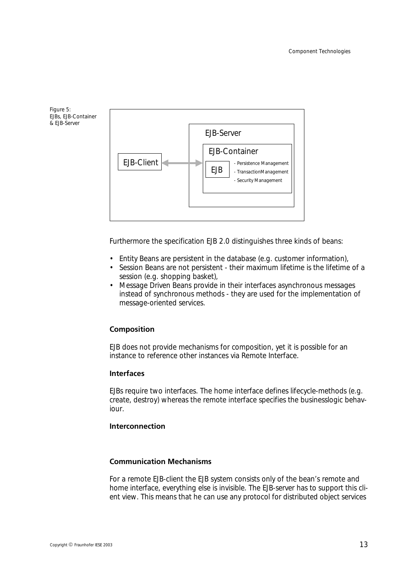



Furthermore the specification EJB 2.0 distinguishes three kinds of beans:

- Entity Beans are persistent in the database (e.g. customer information),
- Session Beans are not persistent their maximum lifetime is the lifetime of a session (e.g. shopping basket),
- Message Driven Beans provide in their interfaces asynchronous messages instead of synchronous methods - they are used for the implementation of message-oriented services.

# **Composition**

EJB does not provide mechanisms for composition, yet it is possible for an instance to reference other instances via Remote Interface.

#### **Interfaces**

EJBs require two interfaces. The home interface defines lifecycle-methods (e.g. create, destroy) whereas the remote interface specifies the businesslogic behaviour.

# **Interconnection**

#### **Communication Mechanisms**

For a remote EJB-client the EJB system consists only of the bean's remote and home interface, everything else is invisible. The EJB-server has to support this client view. This means that he can use any protocol for distributed object services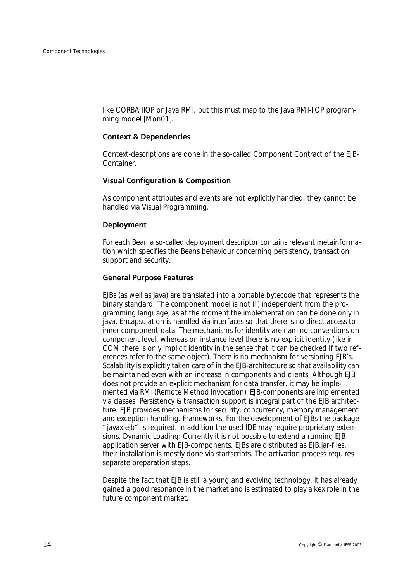like CORBA IIOP or Java RMI, but this must map to the Java RMI-IIOP programming model [Mon01].

#### **Context & Dependencies**

Context-descriptions are done in the so-called Component Contract of the EJB-Container.

# **Visual Configuration & Composition**

As component attributes and events are not explicitly handled, they cannot be handled via Visual Programming.

#### **Deployment**

For each Bean a so-called deployment descriptor contains relevant metainformation which specifies the Beans behaviour concerning persistency, transaction support and security.

#### **General Purpose Features**

EJBs (as well as java) are translated into a portable bytecode that represents the binary standard. The component model is not (!) independent from the programming language, as at the moment the implementation can be done only in java. Encapsulation is handled via interfaces so that there is no direct access to inner component-data. The mechanisms for identity are naming conventions on component level, whereas on instance level there is no explicit identity (like in COM there is only implicit identity in the sense that it can be checked if two references refer to the same object). There is no mechanism for versioning EJB's. Scalability is explicitly taken care of in the EJB-architecture so that availability can be maintained even with an increase in components and clients. Although EJB does not provide an explicit mechanism for data transfer, it may be implemented via RMI (Remote Method Invocation). EJB-components are implemented via classes. Persistency & transaction support is integral part of the EJB architecture. EJB provides mechanisms for security, concurrency, memory management and exception handling. Frameworks: For the development of EJBs the package "javax.ejb" is required. In addition the used IDE may require proprietary extensions. Dynamic Loading: Currently it is not possible to extend a running EJB application server with EJB-components. EJBs are distributed as EJB.jar-files, their installation is mostly done via startscripts. The activation process requires separate preparation steps.

Despite the fact that EJB is still a young and evolving technology, it has already gained a good resonance in the market and is estimated to play a kex role in the future component market.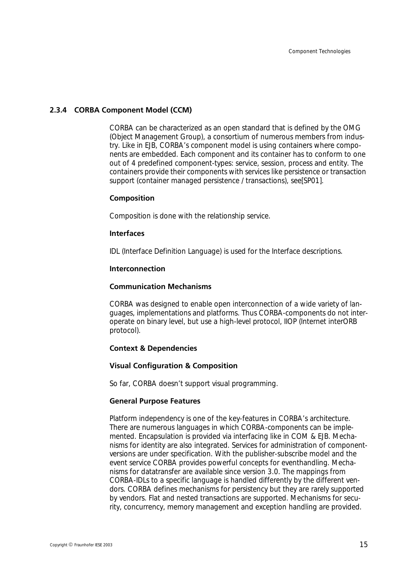# **2.3.4 CORBA Component Model (CCM)**

CORBA can be characterized as an open standard that is defined by the OMG (Object Management Group), a consortium of numerous members from industry. Like in EJB, CORBA's component model is using containers where components are embedded. Each component and its container has to conform to one out of 4 predefined component-types: service, session, process and entity. The containers provide their components with services like persistence or transaction support (container managed persistence / transactions), see[SP01].

#### **Composition**

Composition is done with the relationship service.

#### **Interfaces**

IDL (Interface Definition Language) is used for the Interface descriptions.

# **Interconnection**

#### **Communication Mechanisms**

CORBA was designed to enable open interconnection of a wide variety of languages, implementations and platforms. Thus CORBA-components do not interoperate on binary level, but use a high-level protocol, IIOP (Internet interORB protocol).

#### **Context & Dependencies**

#### **Visual Configuration & Composition**

So far, CORBA doesn't support visual programming.

#### **General Purpose Features**

Platform independency is one of the key-features in CORBA's architecture. There are numerous languages in which CORBA-components can be implemented. Encapsulation is provided via interfacing like in COM & EJB. Mechanisms for identity are also integrated. Services for administration of componentversions are under specification. With the publisher-subscribe model and the event service CORBA provides powerful concepts for eventhandling. Mechanisms for datatransfer are available since version 3.0. The mappings from CORBA-IDLs to a specific language is handled differently by the different vendors. CORBA defines mechanisms for persistency but they are rarely supported by vendors. Flat and nested transactions are supported. Mechanisms for security, concurrency, memory management and exception handling are provided.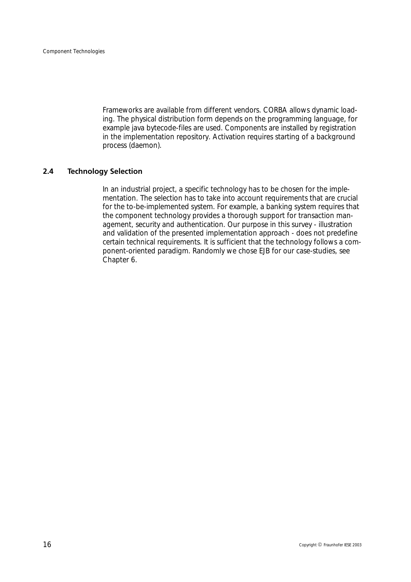Frameworks are available from different vendors. CORBA allows dynamic loading. The physical distribution form depends on the programming language, for example java bytecode-files are used. Components are installed by registration in the implementation repository. Activation requires starting of a background process (daemon).

# **2.4 Technology Selection**

In an industrial project, a specific technology has to be chosen for the implementation. The selection has to take into account requirements that are crucial for the to-be-implemented system. For example, a banking system requires that the component technology provides a thorough support for transaction management, security and authentication. Our purpose in this survey - illustration and validation of the presented implementation approach - does not predefine certain technical requirements. It is sufficient that the technology follows a component-oriented paradigm. Randomly we chose EJB for our case-studies, see Chapter 6.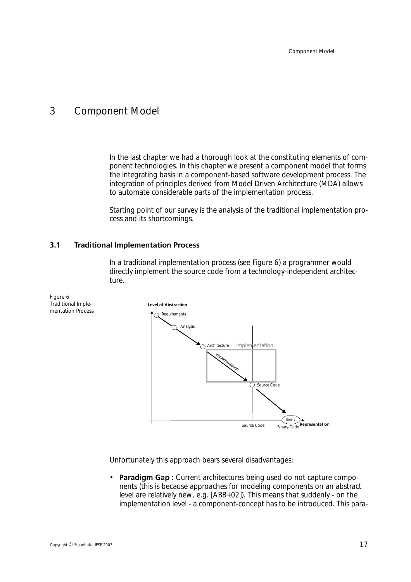# 3 Component Model

In the last chapter we had a thorough look at the constituting elements of component technologies. In this chapter we present a component model that forms the integrating basis in a component-based software development process. The integration of principles derived from Model Driven Architecture (MDA) allows to automate considerable parts of the implementation process.

Starting point of our survey is the analysis of the traditional implementation process and its shortcomings.

#### **3.1 Traditional Implementation Process**

In a traditional implementation process (see Figure 6) a programmer would directly implement the source code from a technology-independent architecture.



Figure 6: Traditional Implementation Process

Unfortunately this approach bears several disadvantages:

• **Paradigm Gap :** Current architectures being used do not capture components (this is because approaches for modeling components on an abstract level are relatively new, e.g. [ABB+02]). This means that suddenly - on the implementation level - a component-concept has to be introduced. This para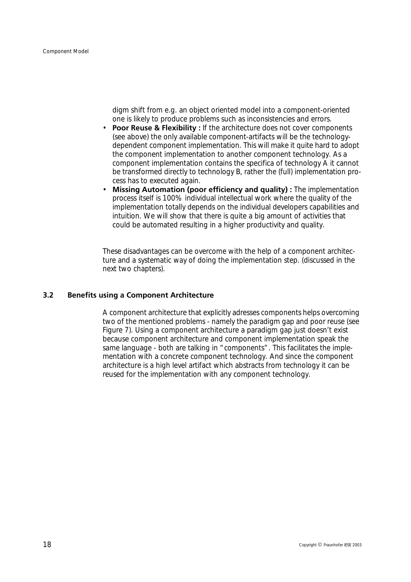digm shift from e.g. an object oriented model into a component-oriented one is likely to produce problems such as inconsistencies and errors.

- **Poor Reuse & Flexibility :** If the architecture does not cover components (see above) the only available component-artifacts will be the technologydependent component implementation. This will make it quite hard to adopt the component implementation to another component technology. As a component implementation contains the specifica of technology A it cannot be transformed directly to technology B, rather the (full) implementation process has to executed again.
- **Missing Automation (poor efficiency and quality) :** The implementation process itself is 100% individual intellectual work where the quality of the implementation totally depends on the individual developers capabilities and intuition. We will show that there is quite a big amount of activities that could be automated resulting in a higher productivity and quality.

These disadvantages can be overcome with the help of a component architecture and a systematic way of doing the implementation step. (discussed in the next two chapters).

#### **3.2 Benefits using a Component Architecture**

A component architecture that explicitly adresses components helps overcoming two of the mentioned problems - namely the paradigm gap and poor reuse (see Figure 7). Using a component architecture a paradigm gap just doesn't exist because component architecture and component implementation speak the same language - both are talking in "components". This facilitates the implementation with a concrete component technology. And since the component architecture is a high level artifact which abstracts from technology it can be reused for the implementation with any component technology.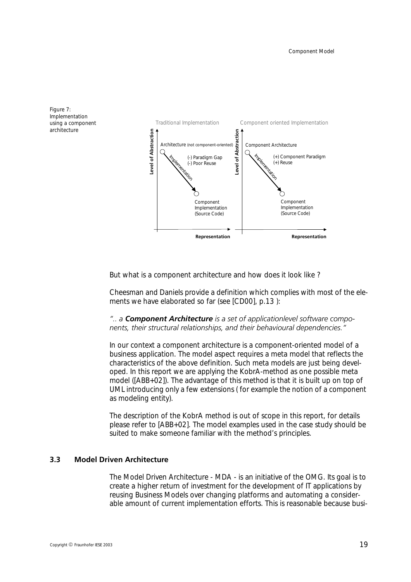Figure 7: Implementation using a component architecture



But what is a component architecture and how does it look like ?

Cheesman and Daniels provide a definition which complies with most of the elements we have elaborated so far (see [CD00], p.13 ):

*".. a Component Architecture is a set of applicationlevel software components, their structural relationships, and their behavioural dependencies."* 

In our context a component architecture is a component-oriented model of a business application. The model aspect requires a meta model that reflects the characteristics of the above definition. Such meta models are just being developed. In this report we are applying the KobrA-method as one possible meta model ([ABB+02]). The advantage of this method is that it is built up on top of UML introducing only a few extensions ( for example the notion of a component as modeling entity).

The description of the KobrA method is out of scope in this report, for details please refer to [ABB+02]. The model examples used in the case study should be suited to make someone familiar with the method's principles.

# **3.3 Model Driven Architecture**

The Model Driven Architecture - MDA - is an initiative of the OMG. Its goal is to create a higher return of investment for the development of IT applications by reusing Business Models over changing platforms and automating a considerable amount of current implementation efforts. This is reasonable because busi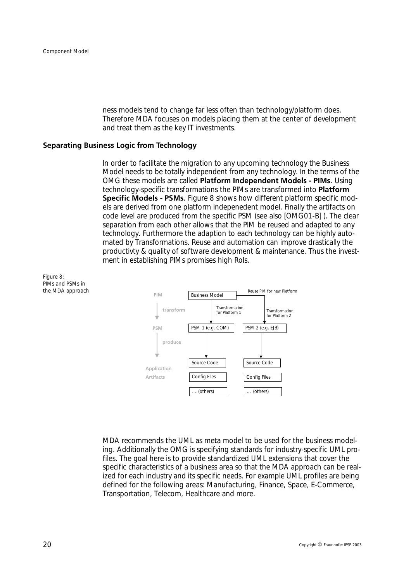ness models tend to change far less often than technology/platform does. Therefore MDA focuses on models placing them at the center of development and treat them as the key IT investments.

#### **Separating Business Logic from Technology**

In order to facilitate the migration to any upcoming technology the Business Model needs to be totally independent from any technology. In the terms of the OMG these models are called **Platform Independent Models - PIMs**. Using technology-specific transformations the PIMs are transformed into **Platform Specific Models - PSMs**. Figure 8 shows how different platform specific models are derived from one platform indepenedent model. Finally the artifacts on code level are produced from the specific PSM (see also [OMG01-B] ). The clear separation from each other allows that the PIM be reused and adapted to any technology. Furthermore the adaption to each technology can be highly automated by Transformations. Reuse and automation can improve drastically the productivty & quality of software development & maintenance. Thus the investment in establishing PIMs promises high RoIs.



MDA recommends the UML as meta model to be used for the business modeling. Additionally the OMG is specifying standards for industry-specific UML profiles. The goal here is to provide standardized UML extensions that cover the specific characteristics of a business area so that the MDA approach can be realized for each industry and its specific needs. For example UML profiles are being defined for the following areas: Manufacturing, Finance, Space, E-Commerce, Transportation, Telecom, Healthcare and more.

Figure 8: PIMs and PSMs in the MDA approach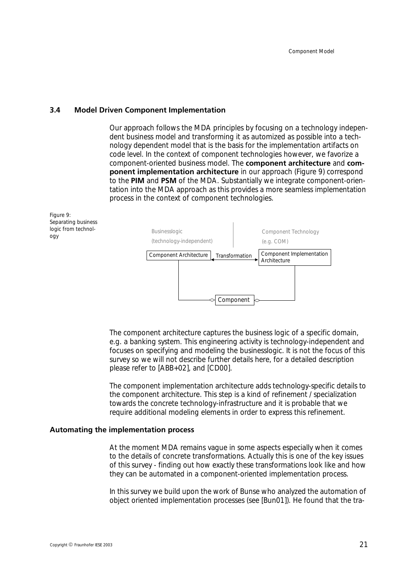#### **3.4 Model Driven Component Implementation**

Our approach follows the MDA principles by focusing on a technology independent business model and transforming it as automized as possible into a technology dependent model that is the basis for the implementation artifacts on code level. In the context of component technologies however, we favorize a component-oriented business model. The **component architecture** and **component implementation architecture** in our approach (Figure 9) correspond to the **PIM** and **PSM** of the MDA. Substantially we integrate component-orientation into the MDA approach as this provides a more seamless implementation process in the context of component technologies.

Figure 9: Separating business logic from technology



The component architecture captures the business logic of a specific domain, e.g. a banking system. This engineering activity is technology-independent and focuses on specifying and modeling the businesslogic. It is not the focus of this survey so we will not describe further details here, for a detailed description please refer to [ABB+02], and [CD00].

The component implementation architecture adds technology-specific details to the component architecture. This step is a kind of refinement / specialization towards the concrete technology-infrastructure and it is probable that we require additional modeling elements in order to express this refinement.

#### **Automating the implementation process**

At the moment MDA remains vague in some aspects especially when it comes to the details of concrete transformations. Actually this is one of the key issues of this survey - finding out how exactly these transformations look like and how they can be automated in a component-oriented implementation process.

In this survey we build upon the work of Bunse who analyzed the automation of object oriented implementation processes (see [Bun01]). He found that the tra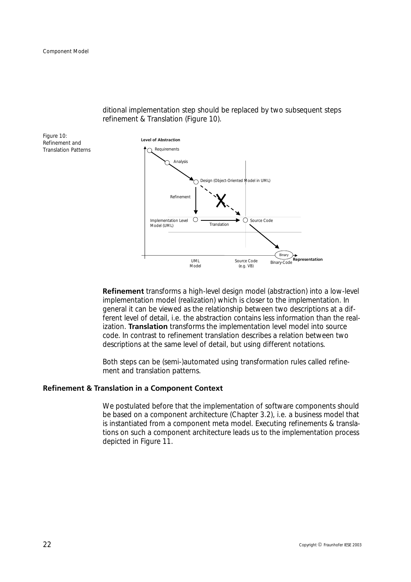Figure 10: Refinement and Translation Patterns



ditional implementation step should be replaced by two subsequent steps refinement & Translation (Figure 10).

**Refinement** transforms a high-level design model (abstraction) into a low-level implementation model (realization) which is closer to the implementation. In general it can be viewed as the relationship between two descriptions at a different level of detail, i.e. the abstraction contains less information than the realization. **Translation** transforms the implementation level model into source code. In contrast to refinement translation describes a relation between two descriptions at the same level of detail, but using different notations.

Both steps can be (semi-)automated using transformation rules called refinement and translation patterns.

#### **Refinement & Translation in a Component Context**

We postulated before that the implementation of software components should be based on a component architecture (Chapter 3.2), i.e. a business model that is instantiated from a component meta model. Executing refinements & translations on such a component architecture leads us to the implementation process depicted in Figure 11.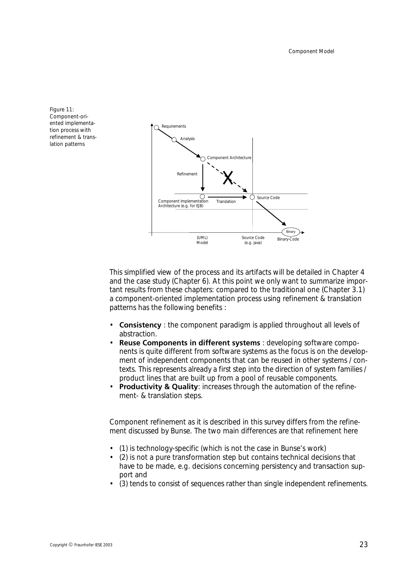Figure 11: Component-oriented implementation process with refinement & translation patterns



This simplified view of the process and its artifacts will be detailed in Chapter 4 and the case study (Chapter 6). At this point we only want to summarize important results from these chapters: compared to the traditional one (Chapter 3.1) a component-oriented implementation process using refinement & translation patterns has the following benefits :

- **Consistency**: the component paradigm is applied throughout all levels of abstraction.
- **Reuse Components in different systems** : developing software components is quite different from software systems as the focus is on the development of independent components that can be reused in other systems / contexts. This represents already a first step into the direction of system families / product lines that are built up from a pool of reusable components.
- **Productivity & Quality:** increases through the automation of the refinement- & translation steps.

Component refinement as it is described in this survey differs from the refinement discussed by Bunse. The two main differences are that refinement here

- (1) is technology-specific (which is not the case in Bunse's work)
- (2) is not a pure transformation step but contains technical decisions that have to be made, e.g. decisions concerning persistency and transaction support and
- (3) tends to consist of sequences rather than single independent refinements.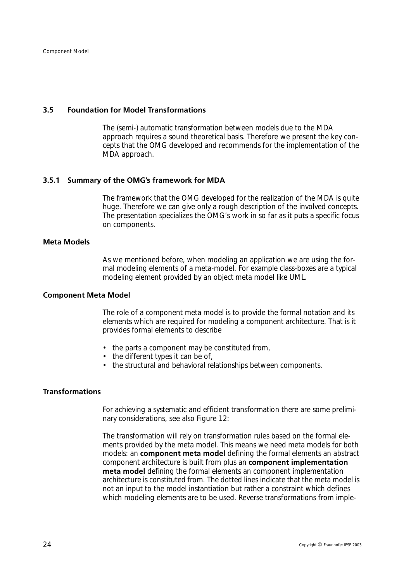# **3.5 Foundation for Model Transformations**

The (semi-) automatic transformation between models due to the MDA approach requires a sound theoretical basis. Therefore we present the key concepts that the OMG developed and recommends for the implementation of the MDA approach.

# **3.5.1 Summary of the OMG's framework for MDA**

The framework that the OMG developed for the realization of the MDA is quite huge. Therefore we can give only a rough description of the involved concepts. The presentation specializes the OMG's work in so far as it puts a specific focus on components.

# **Meta Models**

As we mentioned before, when modeling an application we are using the formal modeling elements of a meta-model. For example class-boxes are a typical modeling element provided by an object meta model like UML.

#### **Component Meta Model**

The role of a component meta model is to provide the formal notation and its elements which are required for modeling a component architecture. That is it provides formal elements to describe

- the parts a component may be constituted from,
- the different types it can be of,
- the structural and behavioral relationships between components.

# **Transformations**

For achieving a systematic and efficient transformation there are some preliminary considerations, see also Figure 12:

The transformation will rely on transformation rules based on the formal elements provided by the meta model. This means we need meta models for both models: an **component meta model** defining the formal elements an abstract component architecture is built from plus an **component implementation meta model** defining the formal elements an component implementation architecture is constituted from. The dotted lines indicate that the meta model is not an input to the model instantiation but rather a constraint which defines which modeling elements are to be used. Reverse transformations from imple-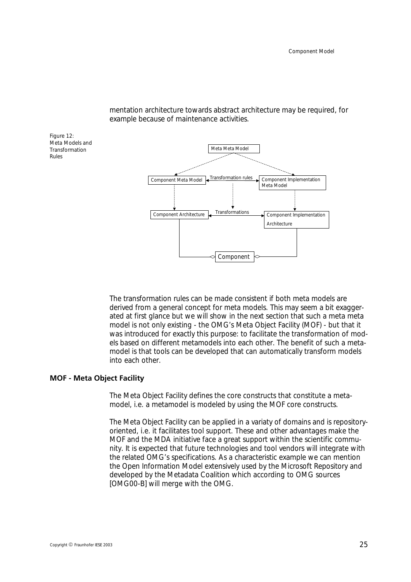

mentation architecture towards abstract architecture may be required, for example because of maintenance activities.

Figure 12: Meta Models and Transformation Rules

> The transformation rules can be made consistent if both meta models are derived from a general concept for meta models. This may seem a bit exaggerated at first glance but we will show in the next section that such a meta meta model is not only existing - the OMG's Meta Object Facility (MOF) - but that it was introduced for exactly this purpose: to facilitate the transformation of models based on different metamodels into each other. The benefit of such a metamodel is that tools can be developed that can automatically transform models into each other.

# **MOF - Meta Object Facility**

The Meta Object Facility defines the core constructs that constitute a metamodel, i.e. a metamodel is modeled by using the MOF core constructs.

The Meta Object Facility can be applied in a variaty of domains and is repositoryoriented, i.e. it facilitates tool support. These and other advantages make the MOF and the MDA initiative face a great support within the scientific community. It is expected that future technologies and tool vendors will integrate with the related OMG's specifications. As a characteristic example we can mention the Open Information Model extensively used by the Microsoft Repository and developed by the Metadata Coalition which according to OMG sources [OMG00-B] will merge with the OMG.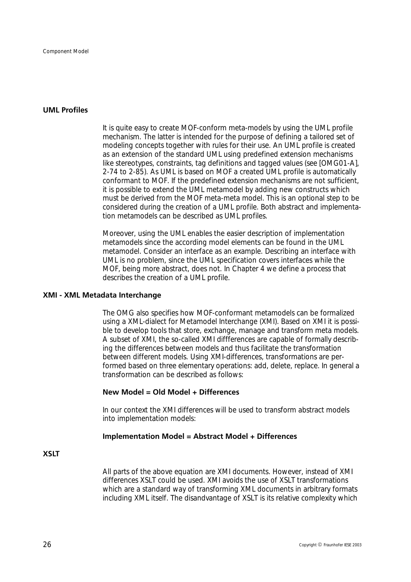# **UML Profiles**

It is quite easy to create MOF-conform meta-models by using the UML profile mechanism. The latter is intended for the purpose of defining a tailored set of modeling concepts together with rules for their use. An UML profile is created as an extension of the standard UML using predefined extension mechanisms like stereotypes, constraints, tag definitions and tagged values (see [OMG01-A], 2-74 to 2-85). As UML is based on MOF a created UML profile is automatically conformant to MOF. If the predefined extension mechanisms are not sufficient, it is possible to extend the UML metamodel by adding new constructs which must be derived from the MOF meta-meta model. This is an optional step to be considered during the creation of a UML profile. Both abstract and implementation metamodels can be described as UML profiles.

Moreover, using the UML enables the easier description of implementation metamodels since the according model elements can be found in the UML metamodel. Consider an interface as an example. Describing an interface with UML is no problem, since the UML specification covers interfaces while the MOF, being more abstract, does not. In Chapter 4 we define a process that describes the creation of a UML profile.

#### **XMI - XML Metadata Interchange**

The OMG also specifies how MOF-conformant metamodels can be formalized using a XML-dialect for Metamodel Interchange (XMI). Based on XMI it is possible to develop tools that store, exchange, manage and transform meta models. A subset of XMI, the so-called XMI diffferences are capable of formally describing the differences between models and thus facilitate the transformation between different models. Using XMI-differences, transformations are performed based on three elementary operations: add, delete, replace. In general a transformation can be described as follows:

# **New Model = Old Model + Differences**

In our context the XMI differences will be used to transform abstract models into implementation models:

#### **Implementation Model = Abstract Model + Differences**

**XSLT**

All parts of the above equation are XMI documents. However, instead of XMI differences XSLT could be used. XMI avoids the use of XSLT transformations which are a standard way of transforming XML documents in arbitrary formats including XML itself. The disandvantage of XSLT is its relative complexity which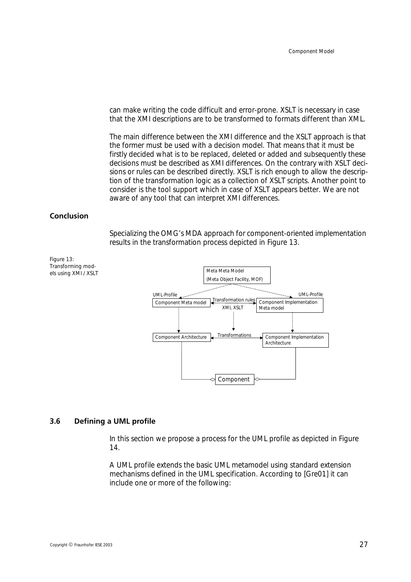can make writing the code difficult and error-prone. XSLT is necessary in case that the XMI descriptions are to be transformed to formats different than XML.

The main difference between the XMI difference and the XSLT approach is that the former must be used with a decision model. That means that it must be firstly decided what is to be replaced, deleted or added and subsequently these decisions must be described as XMI differences. On the contrary with XSLT decisions or rules can be described directly. XSLT is rich enough to allow the description of the transformation logic as a collection of XSLT scripts. Another point to consider is the tool support which in case of XSLT appears better. We are not aware of any tool that can interpret XMI differences.

# **Conclusion**

Specializing the OMG's MDA approach for component-oriented implementation results in the transformation process depicted in Figure 13.



Figure 13: Transforming models using XMI / XSLT

# **3.6 Defining a UML profile**

In this section we propose a process for the UML profile as depicted in Figure 14.

A UML profile extends the basic UML metamodel using standard extension mechanisms defined in the UML specification. According to [Gre01] it can include one or more of the following: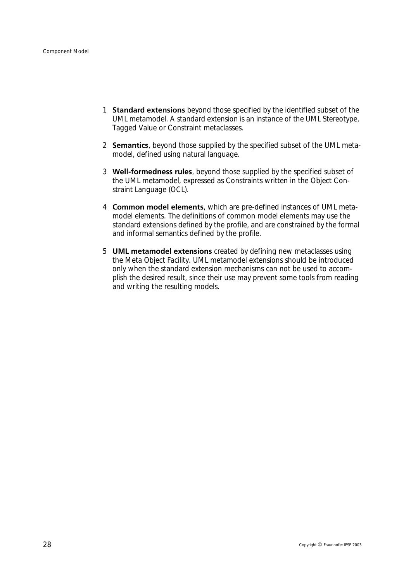- 1 **Standard extensions** beyond those specified by the identified subset of the UML metamodel. A standard extension is an instance of the UML Stereotype, Tagged Value or Constraint metaclasses.
- 2 **Semantics**, beyond those supplied by the specified subset of the UML metamodel, defined using natural language.
- 3 **Well-formedness rules**, beyond those supplied by the specified subset of the UML metamodel, expressed as Constraints written in the Object Constraint Language (OCL).
- 4 **Common model elements**, which are pre-defined instances of UML metamodel elements. The definitions of common model elements may use the standard extensions defined by the profile, and are constrained by the formal and informal semantics defined by the profile.
- 5 **UML metamodel extensions** created by defining new metaclasses using the Meta Object Facility. UML metamodel extensions should be introduced only when the standard extension mechanisms can not be used to accomplish the desired result, since their use may prevent some tools from reading and writing the resulting models.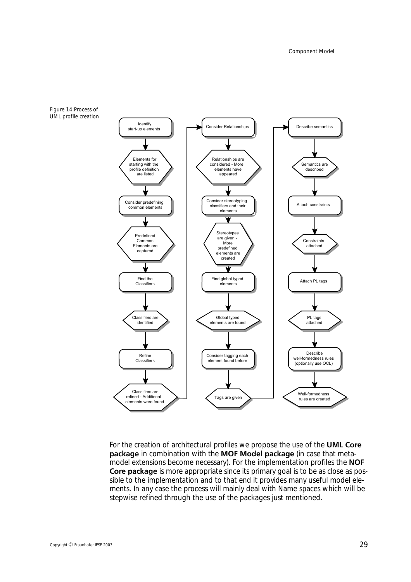

For the creation of architectural profiles we propose the use of the **UML Core package** in combination with the **MOF Model package** (in case that metamodel extensions become necessary). For the implementation profiles the **NOF Core package** is more appropriate since its primary goal is to be as close as possible to the implementation and to that end it provides many useful model elements. In any case the process will mainly deal with Name spaces which will be stepwise refined through the use of the packages just mentioned.

Figure 14:Process of UML profile creation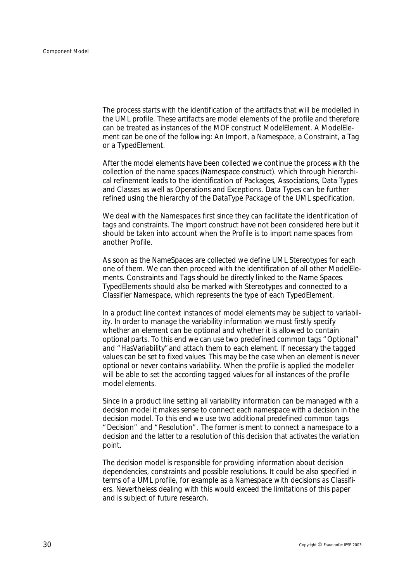The process starts with the identification of the artifacts that will be modelled in the UML profile. These artifacts are model elements of the profile and therefore can be treated as instances of the MOF construct ModelElement. A ModelElement can be one of the following: An Import, a Namespace, a Constraint, a Tag or a TypedElement.

After the model elements have been collected we continue the process with the collection of the name spaces (Namespace construct). which through hierarchical refinement leads to the identification of Packages, Associations, Data Types and Classes as well as Operations and Exceptions. Data Types can be further refined using the hierarchy of the DataType Package of the UML specification.

We deal with the Namespaces first since they can facilitate the identification of tags and constraints. The Import construct have not been considered here but it should be taken into account when the Profile is to import name spaces from another Profile.

As soon as the NameSpaces are collected we define UML Stereotypes for each one of them. We can then proceed with the identification of all other ModelElements. Constraints and Tags should be directly linked to the Name Spaces. TypedElements should also be marked with Stereotypes and connected to a Classifier Namespace, which represents the type of each TypedElement.

In a product line context instances of model elements may be subject to variability. In order to manage the variability information we must firstly specify whether an element can be optional and whether it is allowed to contain optional parts. To this end we can use two predefined common tags "Optional" and "HasVariability"and attach them to each element. If necessary the tagged values can be set to fixed values. This may be the case when an element is never optional or never contains variability. When the profile is applied the modeller will be able to set the according tagged values for all instances of the profile model elements.

Since in a product line setting all variability information can be managed with a decision model it makes sense to connect each namespace with a decision in the decision model. To this end we use two additional predefined common tags "Decision" and "Resolution". The former is ment to connect a namespace to a decision and the latter to a resolution of this decision that activates the variation point.

The decision model is responsible for providing information about decision dependencies, constraints and possible resolutions. It could be also specified in terms of a UML profile, for example as a Namespace with decisions as Classifiers. Nevertheless dealing with this would exceed the limitations of this paper and is subject of future research.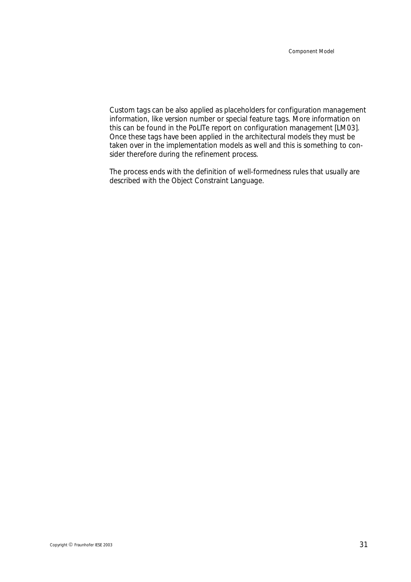Custom tags can be also applied as placeholders for configuration management information, like version number or special feature tags. More information on this can be found in the PoLITe report on configuration management [LM03]. Once these tags have been applied in the architectural models they must be taken over in the implementation models as well and this is something to consider therefore during the refinement process.

The process ends with the definition of well-formedness rules that usually are described with the Object Constraint Language.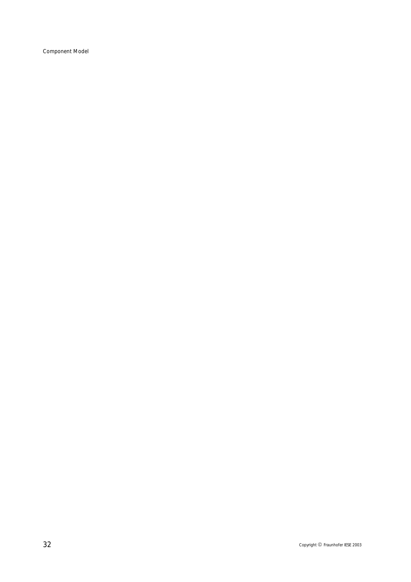Component Model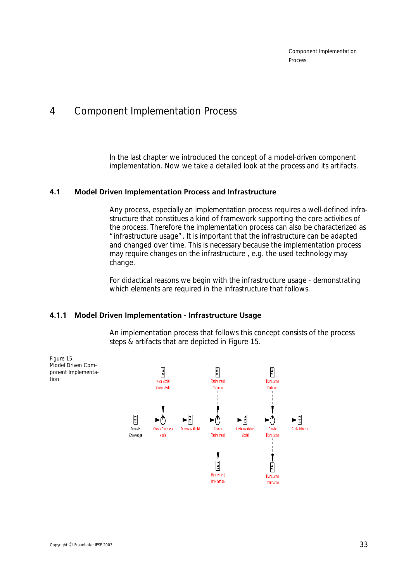# 4 Component Implementation Process

In the last chapter we introduced the concept of a model-driven component implementation. Now we take a detailed look at the process and its artifacts.

#### **4.1 Model Driven Implementation Process and Infrastructure**

Any process, especially an implementation process requires a well-defined infrastructure that constitues a kind of framework supporting the core activities of the process. Therefore the implementation process can also be characterized as "infrastructure usage". It is important that the infrastructure can be adapted and changed over time. This is necessary because the implementation process may require changes on the infrastructure , e.g. the used technology may change.

For didactical reasons we begin with the infrastructure usage - demonstrating which elements are required in the infrastructure that follows.

### **4.1.1 Model Driven Implementation - Infrastructure Usage**

An implementation process that follows this concept consists of the process steps & artifacts that are depicted in Figure 15.

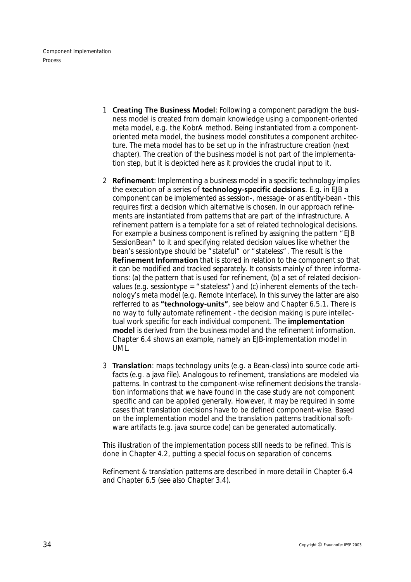- 1 **Creating The Business Model**: Following a component paradigm the business model is created from domain knowledge using a component-oriented meta model, e.g. the KobrA method. Being instantiated from a componentoriented meta model, the business model constitutes a component architecture. The meta model has to be set up in the infrastructure creation (next chapter). The creation of the business model is not part of the implementation step, but it is depicted here as it provides the crucial input to it.
- 2 **Refinement**: Implementing a business model in a specific technology implies the execution of a series of **technology-specific decisions**. E.g. in EJB a component can be implemented as session-, message- or as entity-bean - this requires first a decision which alternative is chosen. In our approach refinements are instantiated from patterns that are part of the infrastructure. A refinement pattern is a template for a set of related technological decisions. For example a business component is refined by assigning the pattern "EJB SessionBean" to it and specifying related decision values like whether the bean's sessiontype should be "stateful" or "stateless". The result is the **Refinement Information** that is stored in relation to the component so that it can be modified and tracked separately. It consists mainly of three informations: (a) the pattern that is used for refinement, (b) a set of related decisionvalues (e.g. sessiontype = "stateless") and (c) inherent elements of the technology's meta model (e.g. Remote Interface). In this survey the latter are also refferred to as **"technology-units"**, see below and Chapter 6.5.1. There is no way to fully automate refinement - the decision making is pure intellectual work specific for each individual component. The **implementation model** is derived from the business model and the refinement information. Chapter 6.4 shows an example, namely an EJB-implementation model in UML.
- 3 **Translation**: maps technology units (e.g. a Bean-class) into source code artifacts (e.g. a java file). Analogous to refinement, translations are modeled via patterns. In contrast to the component-wise refinement decisions the translation informations that we have found in the case study are not component specific and can be applied generally. However, it may be required in some cases that translation decisions have to be defined component-wise. Based on the implementation model and the translation patterns traditional software artifacts (e.g. java source code) can be generated automatically.

This illustration of the implementation pocess still needs to be refined. This is done in Chapter 4.2, putting a special focus on separation of concerns.

Refinement & translation patterns are described in more detail in Chapter 6.4 and Chapter 6.5 (see also Chapter 3.4).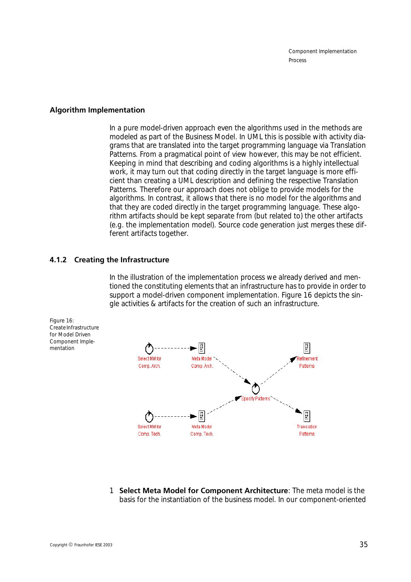#### **Algorithm Implementation**

In a pure model-driven approach even the algorithms used in the methods are modeled as part of the Business Model. In UML this is possible with activity diagrams that are translated into the target programming language via Translation Patterns. From a pragmatical point of view however, this may be not efficient. Keeping in mind that describing and coding algorithms is a highly intellectual work, it may turn out that coding directly in the target language is more efficient than creating a UML description and defining the respective Translation Patterns. Therefore our approach does not oblige to provide models for the algorithms. In contrast, it allows that there is no model for the algorithms and that they are coded directly in the target programming language. These algorithm artifacts should be kept separate from (but related to) the other artifacts (e.g. the implementation model). Source code generation just merges these different artifacts together.

#### **4.1.2 Creating the Infrastructure**

In the illustration of the implementation process we already derived and mentioned the constituting elements that an infrastructure has to provide in order to support a model-driven component implementation. Figure 16 depicts the single activities & artifacts for the creation of such an infrastructure.



1 **Select Meta Model for Component Architecture**: The meta model is the basis for the instantiation of the business model. In our component-oriented

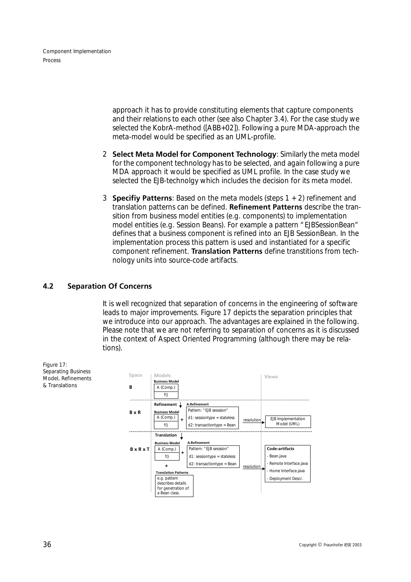> approach it has to provide constituting elements that capture components and their relations to each other (see also Chapter 3.4). For the case study we selected the KobrA-method ([ABB+02]). Following a pure MDA-approach the meta-model would be specified as an UML-profile.

- 2 **Select Meta Model for Component Technology**: Similarly the meta model for the component technology has to be selected, and again following a pure MDA approach it would be specified as UML profile. In the case study we selected the EJB-technolgy which includes the decision for its meta model.
- 3 **Specifiy Patterns**: Based on the meta models (steps 1 + 2) refinement and translation patterns can be defined. **Refinement Patterns** describe the transition from business model entities (e.g. components) to implementation model entities (e.g. Session Beans). For example a pattern "EJBSessionBean" defines that a business component is refined into an EJB SessionBean. In the implementation process this pattern is used and instantiated for a specific component refinement. **Translation Patterns** define transtitions from technology units into source-code artifacts.

### **4.2 Separation Of Concerns**

It is well recognized that separation of concerns in the engineering of software leads to major improvements. Figure 17 depicts the separation principles that we introduce into our approach. The advantages are explained in the following. Please note that we are not referring to separation of concerns as it is discussed in the context of Aspect Oriented Programming (although there may be relations).

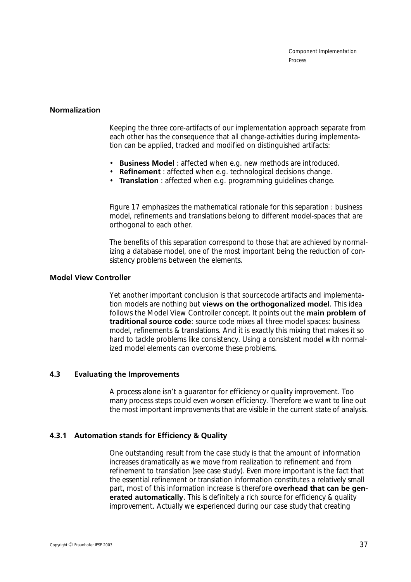#### **Normalization**

Keeping the three core-artifacts of our implementation approach separate from each other has the consequence that all change-activities during implementation can be applied, tracked and modified on distinguished artifacts:

- **Business Model** : affected when e.g. new methods are introduced.
- **Refinement** : affected when e.g. technological decisions change.
- **Translation** : affected when e.g. programming guidelines change.

Figure 17 emphasizes the mathematical rationale for this separation : business model, refinements and translations belong to different model-spaces that are orthogonal to each other.

The benefits of this separation correspond to those that are achieved by normalizing a database model, one of the most important being the reduction of consistency problems between the elements.

#### **Model View Controller**

Yet another important conclusion is that sourcecode artifacts and implementation models are nothing but **views on the orthogonalized model**. This idea follows the Model View Controller concept. It points out the **main problem of traditional source code**: source code mixes all three model spaces: business model, refinements & translations. And it is exactly this mixing that makes it so hard to tackle problems like consistency. Using a consistent model with normalized model elements can overcome these problems.

### **4.3 Evaluating the Improvements**

A process alone isn't a guarantor for efficiency or quality improvement. Too many process steps could even worsen efficiency. Therefore we want to line out the most important improvements that are visible in the current state of analysis.

### **4.3.1 Automation stands for Efficiency & Quality**

One outstanding result from the case study is that the amount of information increases dramatically as we move from realization to refinement and from refinement to translation (see case study). Even more important is the fact that the essential refinement or translation information constitutes a relatively small part, most of this information increase is therefore **overhead that can be generated automatically**. This is definitely a rich source for efficiency & quality improvement. Actually we experienced during our case study that creating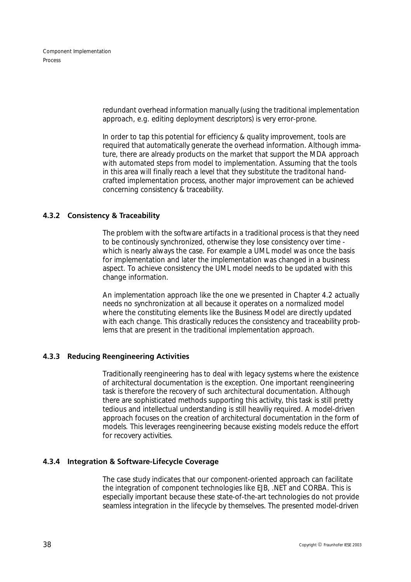> redundant overhead information manually (using the traditional implementation approach, e.g. editing deployment descriptors) is very error-prone.

> In order to tap this potential for efficiency & quality improvement, tools are required that automatically generate the overhead information. Although immature, there are already products on the market that support the MDA approach with automated steps from model to implementation. Assuming that the tools in this area will finally reach a level that they substitute the traditonal handcrafted implementation process, another major improvement can be achieved concerning consistency & traceability.

### **4.3.2 Consistency & Traceability**

The problem with the software artifacts in a traditional process is that they need to be continously synchronized, otherwise they lose consistency over time which is nearly always the case. For example a UML model was once the basis for implementation and later the implementation was changed in a business aspect. To achieve consistency the UML model needs to be updated with this change information.

An implementation approach like the one we presented in Chapter 4.2 actually needs no synchronization at all because it operates on a normalized model where the constituting elements like the Business Model are directly updated with each change. This drastically reduces the consistency and traceability problems that are present in the traditional implementation approach.

#### **4.3.3 Reducing Reengineering Activities**

TraditionaIly reengineering has to deal with legacy systems where the existence of architectural documentation is the exception. One important reengineering task is therefore the recovery of such architectural documentation. Although there are sophisticated methods supporting this activity, this task is still pretty tedious and intellectual understanding is still heaviliy required. A model-driven approach focuses on the creation of architectural documentation in the form of models. This leverages reengineering because existing models reduce the effort for recovery activities.

#### **4.3.4 Integration & Software-Lifecycle Coverage**

The case study indicates that our component-oriented approach can facilitate the integration of component technologies like EJB, .NET and CORBA. This is especially important because these state-of-the-art technologies do not provide seamless integration in the lifecycle by themselves. The presented model-driven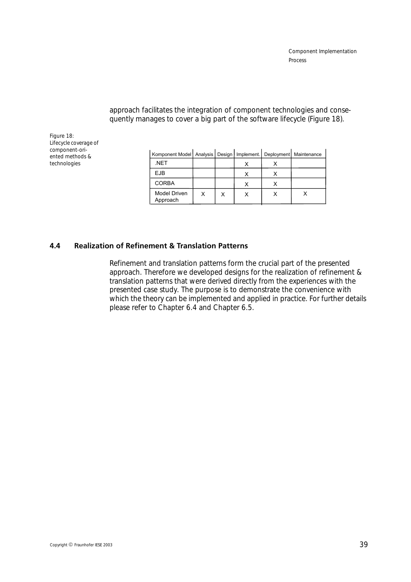| Komponent Model   Analysis   Design   Implement.   Deployment   Maintenance |   |   |  |  |
|-----------------------------------------------------------------------------|---|---|--|--|
| .NET                                                                        |   |   |  |  |
| <b>EJB</b>                                                                  |   |   |  |  |
| <b>CORBA</b>                                                                |   |   |  |  |
| Model Driven<br>Approach                                                    | x | x |  |  |

approach facilitates the integration of component technologies and consequently manages to cover a big part of the software lifecycle (Figure 18).

Figure 18: Lifecycle coverage of component-oriented methods & technologies

### **4.4 Realization of Refinement & Translation Patterns**

Refinement and translation patterns form the crucial part of the presented approach. Therefore we developed designs for the realization of refinement & translation patterns that were derived directly from the experiences with the presented case study. The purpose is to demonstrate the convenience with which the theory can be implemented and applied in practice. For further details please refer to Chapter 6.4 and Chapter 6.5.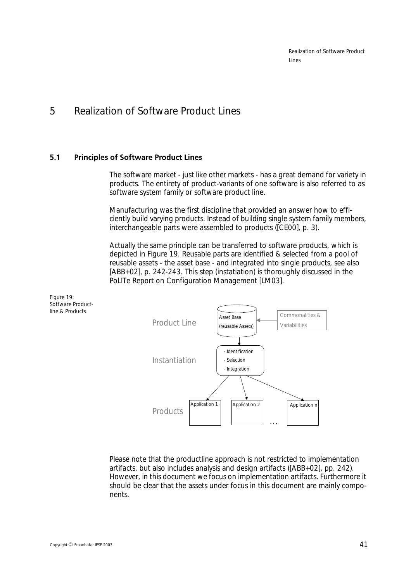Realization of Software Product Lines

## 5 Realization of Software Product Lines

#### **5.1 Principles of Software Product Lines**

The software market - just like other markets - has a great demand for variety in products. The entirety of product-variants of one software is also referred to as software system family or software product line.

Manufacturing was the first discipline that provided an answer how to efficiently build varying products. Instead of building single system family members, interchangeable parts were assembled to products ([CE00], p. 3).

Actually the same principle can be transferred to software products, which is depicted in Figure 19. Reusable parts are identified & selected from a pool of reusable assets - the asset base - and integrated into single products, see also [ABB+02], p. 242-243. This step (instatiation) is thoroughly discussed in the PoLITe Report on Configuration Management [LM03].



Please note that the productline approach is not restricted to implementation artifacts, but also includes analysis and design artifacts ([ABB+02], pp. 242). However, in this document we focus on implementation artifacts. Furthermore it should be clear that the assets under focus in this document are mainly components.

Figure 19: Software Productline & Products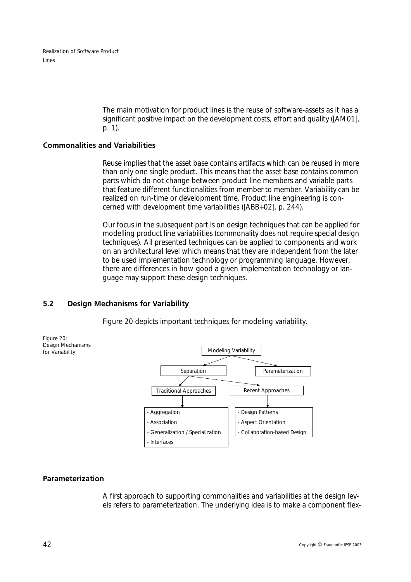Realization of Software Product Lines

> The main motivation for product lines is the reuse of software-assets as it has a significant positive impact on the development costs, effort and quality ([AM01], p. 1).

#### **Commonalities and Variabilities**

Reuse implies that the asset base contains artifacts which can be reused in more than only one single product. This means that the asset base contains common parts which do not change between product line members and variable parts that feature different functionalities from member to member. Variability can be realized on run-time or development time. Product line engineering is concerned with development time variabilities ([ABB+02], p. 244).

Our focus in the subsequent part is on design techniques that can be applied for modelling product line variabilities (commonality does not require special design techniques). All presented techniques can be applied to components and work on an architectural level which means that they are independent from the later to be used implementation technology or programming language. However, there are differences in how good a given implementation technology or language may support these design techniques.

### **5.2 Design Mechanisms for Variability**

Figure 20 depicts important techniques for modeling variability.



#### **Parameterization**

A first approach to supporting commonalities and variabilities at the design levels refers to parameterization. The underlying idea is to make a component flex-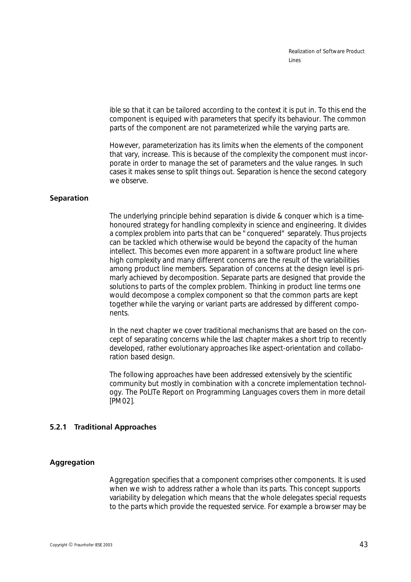ible so that it can be tailored according to the context it is put in. To this end the component is equiped with parameters that specify its behaviour. The common parts of the component are not parameterized while the varying parts are.

However, parameterization has its limits when the elements of the component that vary, increase. This is because of the complexity the component must incorporate in order to manage the set of parameters and the value ranges. In such cases it makes sense to split things out. Separation is hence the second category we observe.

#### **Separation**

The underlying principle behind separation is divide & conquer which is a timehonoured strategy for handling complexity in science and engineering. It divides a complex problem into parts that can be "conquered" separately. Thus projects can be tackled which otherwise would be beyond the capacity of the human intellect. This becomes even more apparent in a software product line where high complexity and many different concerns are the result of the variabilities among product line members. Separation of concerns at the design level is primarly achieved by decomposition. Separate parts are designed that provide the solutions to parts of the complex problem. Thinking in product line terms one would decompose a complex component so that the common parts are kept together while the varying or variant parts are addressed by different components.

In the next chapter we cover traditional mechanisms that are based on the concept of separating concerns while the last chapter makes a short trip to recently developed, rather evolutionary approaches like aspect-orientation and collaboration based design.

The following approaches have been addressed extensively by the scientific community but mostly in combination with a concrete implementation technology. The PoLITe Report on Programming Languages covers them in more detail [PM02].

#### **5.2.1 Traditional Approaches**

### **Aggregation**

Aggregation specifies that a component comprises other components. It is used when we wish to address rather a whole than its parts. This concept supports variability by delegation which means that the whole delegates special requests to the parts which provide the requested service. For example a browser may be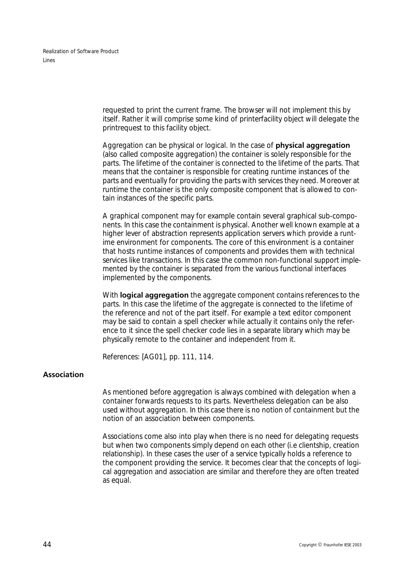requested to print the current frame. The browser will not implement this by itself. Rather it will comprise some kind of printerfacility object will delegate the printrequest to this facility object.

Aggregation can be physical or logical. In the case of **physical aggregation** (also called composite aggregation) the container is solely responsible for the parts. The lifetime of the container is connected to the lifetime of the parts. That means that the container is responsible for creating runtime instances of the parts and eventually for providing the parts with services they need. Moreover at runtime the container is the only composite component that is allowed to contain instances of the specific parts.

A graphical component may for example contain several graphical sub-components. In this case the containment is physical. Another well known example at a higher lever of abstraction represents application servers which provide a runtime environment for components. The core of this environment is a container that hosts runtime instances of components and provides them with technical services like transactions. In this case the common non-functional support implemented by the container is separated from the various functional interfaces implemented by the components.

With **logical aggregation** the aggregate component contains references to the parts. In this case the lifetime of the aggregate is connected to the lifetime of the reference and not of the part itself. For example a text editor component may be said to contain a spell checker while actually it contains only the reference to it since the spell checker code lies in a separate library which may be physically remote to the container and independent from it.

References: [AG01], pp. 111, 114.

### **Association**

As mentioned before aggregation is always combined with delegation when a container forwards requests to its parts. Nevertheless delegation can be also used without aggregation. In this case there is no notion of containment but the notion of an association between components.

Associations come also into play when there is no need for delegating requests but when two components simply depend on each other (i.e clientship, creation relationship). In these cases the user of a service typically holds a reference to the component providing the service. It becomes clear that the concepts of logical aggregation and association are similar and therefore they are often treated as equal.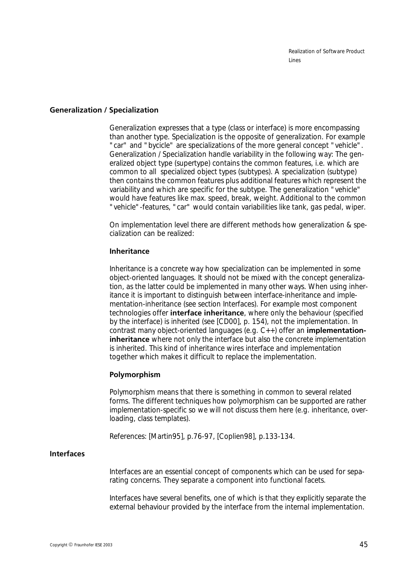#### **Generalization / Specialization**

Generalization expresses that a type (class or interface) is more encompassing than another type. Specialization is the opposite of generalization. For example "car" and "bycicle" are specializations of the more general concept "vehicle". Generalization / Specialization handle variability in the following way: The generalized object type (supertype) contains the common features, i.e. which are common to all specialized object types (subtypes). A specialization (subtype) then contains the common features plus additional features which represent the variability and which are specific for the subtype. The generalization "vehicle" would have features like max. speed, break, weight. Additional to the common "vehicle"-features, "car" would contain variabilities like tank, gas pedal, wiper.

On implementation level there are different methods how generalization & specialization can be realized:

#### **Inheritance**

Inheritance is a concrete way how specialization can be implemented in some object-oriented languages. It should not be mixed with the concept generalization, as the latter could be implemented in many other ways. When using inheritance it is important to distinguish between interface-inheritance and implementation-inheritance (see section Interfaces). For example most component technologies offer **interface inheritance**, where only the behaviour (specified by the interface) is inherited (see [CD00], p. 154), not the implementation. In contrast many object-oriented languages (e.g. C++) offer an **implementationinheritance** where not only the interface but also the concrete implementation is inherited. This kind of inheritance wires interface and implementation together which makes it difficult to replace the implementation.

#### **Polymorphism**

Polymorphism means that there is something in common to several related forms. The different techniques how polymorphism can be supported are rather implementation-specific so we will not discuss them here (e.g. inheritance, overloading, class templates).

References: [Martin95], p.76-97, [Coplien98], p.133-134.

## **Interfaces**

Interfaces are an essential concept of components which can be used for separating concerns. They separate a component into functional facets.

Interfaces have several benefits, one of which is that they explicitly separate the external behaviour provided by the interface from the internal implementation.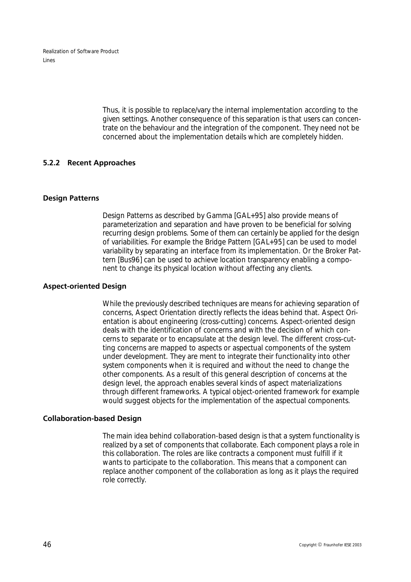Realization of Software Product Lines

> Thus, it is possible to replace/vary the internal implementation according to the given settings. Another consequence of this separation is that users can concentrate on the behaviour and the integration of the component. They need not be concerned about the implementation details which are completely hidden.

### **5.2.2 Recent Approaches**

### **Design Patterns**

Design Patterns as described by Gamma [GAL+95] also provide means of parameterization and separation and have proven to be beneficial for solving recurring design problems. Some of them can certainly be applied for the design of variabilities. For example the Bridge Pattern [GAL+95] can be used to model variability by separating an interface from its implementation. Or the Broker Pattern [Bus96] can be used to achieve location transparency enabling a component to change its physical location without affecting any clients.

#### **Aspect-oriented Design**

While the previously described techniques are means for achieving separation of concerns, Aspect Orientation directly reflects the ideas behind that. Aspect Orientation is about engineering (cross-cutting) concerns. Aspect-oriented design deals with the identification of concerns and with the decision of which concerns to separate or to encapsulate at the design level. The different cross-cutting concerns are mapped to aspects or aspectual components of the system under development. They are ment to integrate their functionality into other system components when it is required and without the need to change the other components. As a result of this general description of concerns at the design level, the approach enables several kinds of aspect materializations through different frameworks. A typical object-oriented framework for example would suggest objects for the implementation of the aspectual components.

#### **Collaboration-based Design**

The main idea behind collaboration-based design is that a system functionality is realized by a set of components that collaborate. Each component plays a role in this collaboration. The roles are like contracts a component must fulfill if it wants to participate to the collaboration. This means that a component can replace another component of the collaboration as long as it plays the required role correctly.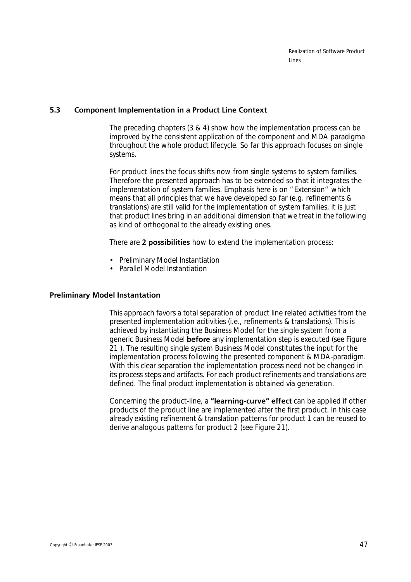### **5.3 Component Implementation in a Product Line Context**

The preceding chapters (3 & 4) show how the implementation process can be improved by the consistent application of the component and MDA paradigma throughout the whole product lifecycle. So far this approach focuses on single systems.

For product lines the focus shifts now from single systems to system families. Therefore the presented approach has to be extended so that it integrates the implementation of system families. Emphasis here is on "Extension" which means that all principles that we have developed so far (e.g. refinements & translations) are still valid for the implementation of system families, it is just that product lines bring in an additional dimension that we treat in the following as kind of orthogonal to the already existing ones.

There are **2 possibilities** how to extend the implementation process:

- Preliminary Model Instantiation
- Parallel Model Instantiation

#### **Preliminary Model Instantation**

This approach favors a total separation of product line related activities from the presented implementation acitivities (i.e., refinements & translations). This is achieved by instantiating the Business Model for the single system from a generic Business Model **before** any implementation step is executed (see Figure 21 ). The resulting single system Business Model constitutes the input for the implementation process following the presented component & MDA-paradigm. With this clear separation the implementation process need not be changed in its process steps and artifacts. For each product refinements and translations are defined. The final product implementation is obtained via generation.

Concerning the product-line, a **"learning-curve" effect** can be applied if other products of the product line are implemented after the first product. In this case already existing refinement & translation patterns for product 1 can be reused to derive analogous patterns for product 2 (see Figure 21).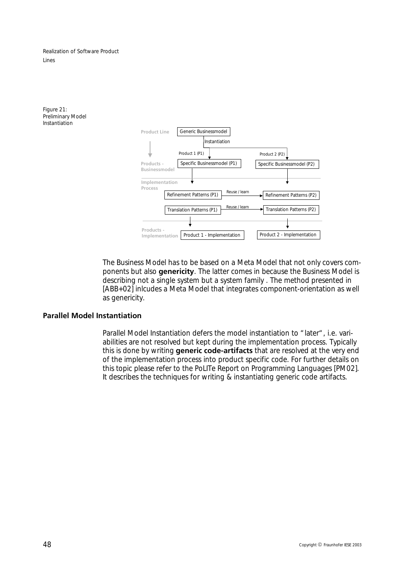Realization of Software Product Lines

Figure 21: Preliminary Model Instantiation



The Business Model has to be based on a Meta Model that not only covers components but also **genericity**. The latter comes in because the Business Model is describing not a single system but a system family . The method presented in [ABB+02] inlcudes a Meta Model that integrates component-orientation as well as genericity.

### **Parallel Model Instantiation**

Parallel Model Instantiation defers the model instantiation to "later", i.e. variabilities are not resolved but kept during the implementation process. Typically this is done by writing **generic code-artifacts** that are resolved at the very end of the implementation process into product specific code. For further details on this topic please refer to the PoLITe Report on Programming Languages [PM02]. It describes the techniques for writing & instantiating generic code artifacts.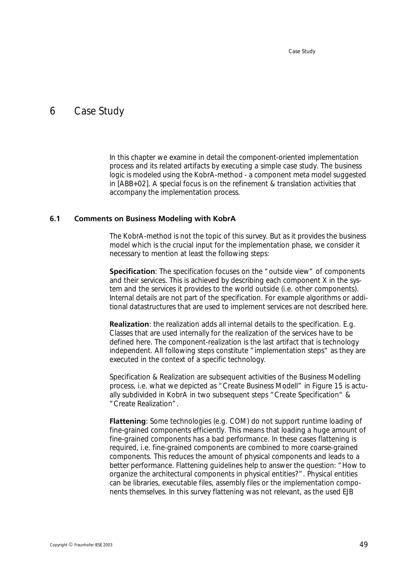# 6 Case Study

In this chapter we examine in detail the component-oriented implementation process and its related artifacts by executing a simple case study. The business logic is modeled using the KobrA-method - a component meta model suggested in [ABB+02]. A special focus is on the refinement & translation activities that accompany the implementation process.

#### **6.1 Comments on Business Modeling with KobrA**

The KobrA-method is not the topic of this survey. But as it provides the business model which is the crucial input for the implementation phase, we consider it necessary to mention at least the following steps:

**Specification**: The specification focuses on the "outside view" of components and their services. This is achieved by describing each component X in the system and the services it provides to the world outside (i.e. other components). Internal details are not part of the specification. For example algorithms or additional datastructures that are used to implement services are not described here.

**Realization**: the realization adds all internal details to the specification. E.g. Classes that are used internally for the realization of the services have to be defined here. The component-realization is the last artifact that is technology independent. All following steps constitute "implementation steps" as they are executed in the context of a specific technology.

Specification & Realization are subsequent activities of the Business Modelling process, i.e. what we depicted as "Create Business Modell" in Figure 15 is actually subdivided in KobrA in two subsequent steps "Create Specification" & "Create Realization".

**Flattening**: Some technologies (e.g. COM) do not support runtime loading of fine-grained components efficiently. This means that loading a huge amount of fine-grained components has a bad performance. In these cases flattening is required, i.e. fine-grained components are combined to more coarse-grained components. This reduces the amount of physical components and leads to a better performance. Flattening guidelines help to answer the question: "How to organize the architectural components in physical entities?". Physical entities can be libraries, executable files, assembly files or the implementation components themselves. In this survey flattening was not relevant, as the used EJB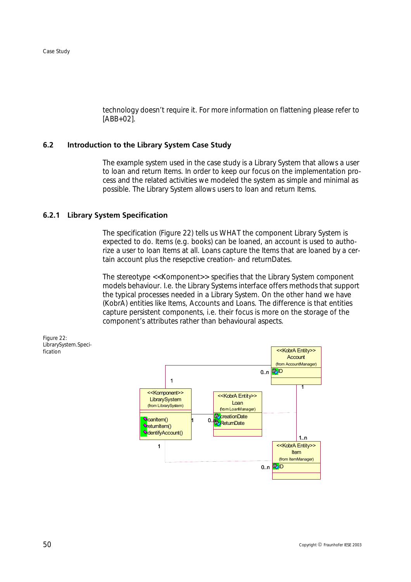technology doesn't require it. For more information on flattening please refer to [ABB+02].

#### **6.2 Introduction to the Library System Case Study**

The example system used in the case study is a Library System that allows a user to loan and return Items. In order to keep our focus on the implementation process and the related activities we modeled the system as simple and minimal as possible. The Library System allows users to loan and return Items.

#### **6.2.1 Library System Specification**

The specification (Figure 22) tells us WHAT the component Library System is expected to do. Items (e.g. books) can be loaned, an account is used to authorize a user to loan Items at all. Loans capture the Items that are loaned by a certain account plus the resepctive creation- and returnDates.

The stereotype <<Komponent>> specifies that the Library System component models behaviour. I.e. the Library Systems interface offers methods that support the typical processes needed in a Library System. On the other hand we have (KobrA) entities like Items, Accounts and Loans. The difference is that entities capture persistent components, i.e. their focus is more on the storage of the component's attributes rather than behavioural aspects.



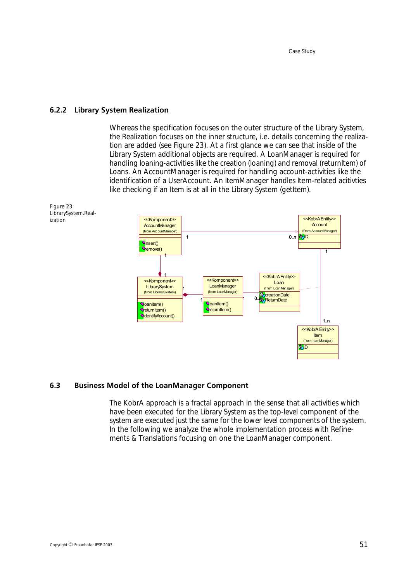### **6.2.2 Library System Realization**

Whereas the specification focuses on the outer structure of the Library System, the Realization focuses on the inner structure, i.e. details concerning the realization are added (see Figure 23). At a first glance we can see that inside of the Library System additional objects are required. A LoanManager is required for handling loaning-activities like the creation (loaning) and removal (returnItem) of Loans. An AccountManager is required for handling account-activities like the identification of a UserAccount. An ItemManager handles Item-related acitivties like checking if an Item is at all in the Library System (getItem).

Figure 23: LibrarySystem.Realization



#### **6.3 Business Model of the LoanManager Component**

The KobrA approach is a fractal approach in the sense that all activities which have been executed for the Library System as the top-level component of the system are executed just the same for the lower level components of the system. In the following we analyze the whole implementation process with Refinements & Translations focusing on one the LoanManager component.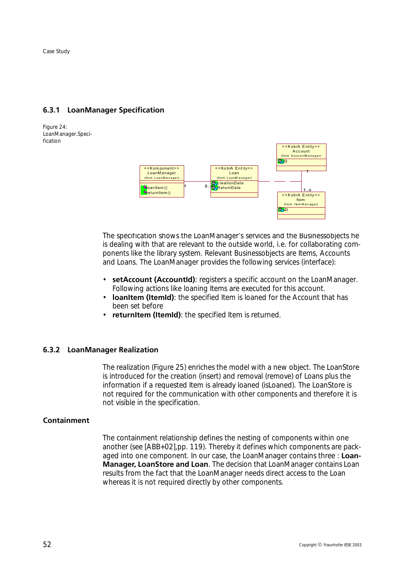### **6.3.1 LoanManager Specification**

Figure 24: LoanManager.Specification



The specification shows the LoanManager's services and the Businessobjects he is dealing with that are relevant to the outside world, i.e. for collaborating components like the library system. Relevant Businessobjects are Items, Accounts and Loans. The LoanManager provides the following services (interface):

- **setAccount (AccountId)**: registers a specific account on the LoanManager. Following actions like loaning Items are executed for this account.
- **loanItem (ItemId)**: the specified Item is loaned for the Account that has been set before
- **returnitem (ItemId)**: the specified Item is returned.

#### **6.3.2 LoanManager Realization**

The realization (Figure 25) enriches the model with a new object. The LoanStore is introduced for the creation (insert) and removal (remove) of Loans plus the information if a requested Item is already loaned (isLoaned). The LoanStore is not required for the communication with other components and therefore it is not visible in the specification.

## **Containment**

The containment relationship defines the nesting of components within one another (see [ABB+02],pp. 119). Thereby it defines which components are packaged into one component. In our case, the LoanManager contains three : **Loan-Manager, LoanStore and Loan**. The decision that LoanManager contains Loan results from the fact that the LoanManager needs direct access to the Loan whereas it is not required directly by other components.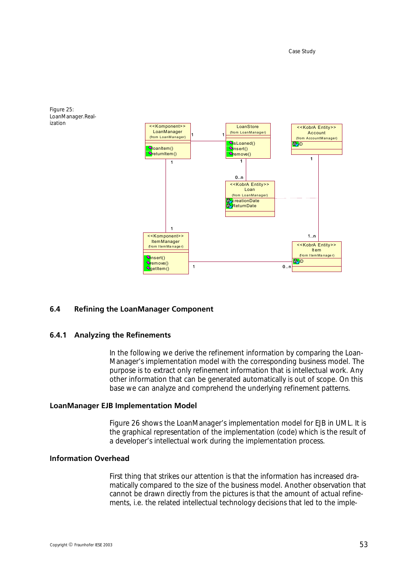Case Study



#### Figure 25: LoanManager.Realization

### **6.4 Refining the LoanManager Component**

### **6.4.1 Analyzing the Refinements**

In the following we derive the refinement information by comparing the Loan-Manager's implementation model with the corresponding business model. The purpose is to extract only refinement information that is intellectual work. Any other information that can be generated automatically is out of scope. On this base we can analyze and comprehend the underlying refinement patterns.

### **LoanManager EJB Implementation Model**

Figure 26 shows the LoanManager's implementation model for EJB in UML. It is the graphical representation of the implementation (code) which is the result of a developer's intellectual work during the implementation process.

### **Information Overhead**

First thing that strikes our attention is that the information has increased dramatically compared to the size of the business model. Another observation that cannot be drawn directly from the pictures is that the amount of actual refinements, i.e. the related intellectual technology decisions that led to the imple-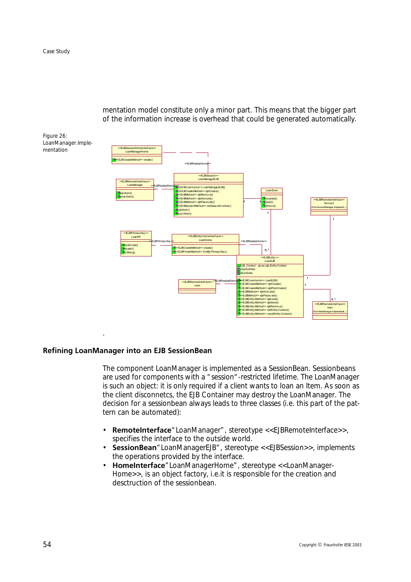

mentation model constitute only a minor part. This means that the bigger part of the information increase is overhead that could be generated automatically.

#### **Refining LoanManager into an EJB SessionBean**

.

The component LoanManager is implemented as a SessionBean. Sessionbeans are used for components with a "session"-restricted lifetime. The LoanManager is such an object: it is only required if a client wants to loan an Item. As soon as the client disconnetcs, the EJB Container may destroy the LoanManager. The decision for a sessionbean always leads to three classes (i.e. this part of the pattern can be automated):

- **RemoteInterface**"LoanManager", stereotype <<EJBRemoteInterface>>, specifies the interface to the outside world.
- **SessionBean**"LoanManagerEJB", stereotype <<EJBSession>>, implements the operations provided by the interface.
- **HomeInterface**"LoanManagerHome", stereotype <<LoanManager-Home>>, is an object factory, i.e.it is responsible for the creation and desctruction of the sessionbean.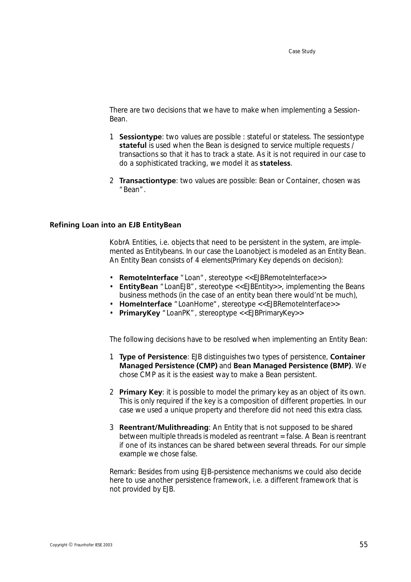There are two decisions that we have to make when implementing a Session-Bean.

- 1 **Sessiontype**: two values are possible : stateful or stateless. The sessiontype **stateful** is used when the Bean is designed to service multiple requests / transactions so that it has to track a state. As it is not required in our case to do a sophisticated tracking, we model it as **stateless**.
- 2 **Transactiontype**: two values are possible: Bean or Container, chosen was "Bean".

#### **Refining Loan into an EJB EntityBean**

KobrA Entities, i.e. objects that need to be persistent in the system, are implemented as Entitybeans. In our case the Loanobject is modeled as an Entity Bean. An Entity Bean consists of 4 elements(Primary Key depends on decision):

- **RemoteInterface** "Loan", stereotype <<EJBRemoteInterface>>
- **EntityBean** "LoanEJB", stereotype <<EJBEntity>>, implementing the Beans business methods (in the case of an entity bean there would'nt be much),
- **HomeInterface** "LoanHome", stereotype <<EJBRemoteInterface>>
- **PrimaryKey** "LoanPK", stereoptype <<EJBPrimaryKey>>

The following decisions have to be resolved when implementing an Entity Bean:

- 1 **Type of Persistence**: EJB distinguishes two types of persistence, **Container Managed Persistence (CMP)** and **Bean Managed Persistence (BMP)**. We chose CMP as it is the easiest way to make a Bean persistent.
- 2 **Primary Key**: it is possible to model the primary key as an object of its own. This is only required if the key is a composition of different properties. In our case we used a unique property and therefore did not need this extra class.
- 3 **Reentrant/Mulithreading**: An Entity that is not supposed to be shared between multiple threads is modeled as reentrant = false. A Bean is reentrant if one of its instances can be shared between several threads. For our simple example we chose false.

Remark: Besides from using EJB-persistence mechanisms we could also decide here to use another persistence framework, i.e. a different framework that is not provided by EJB.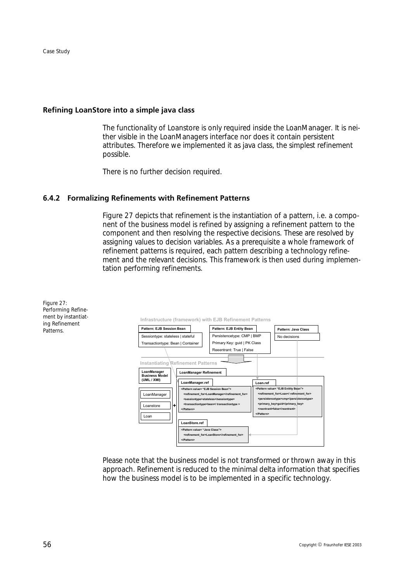### **Refining LoanStore into a simple java class**

The functionality of Loanstore is only required inside the LoanManager. It is neither visible in the LoanManagers interface nor does it contain persistent attributes. Therefore we implemented it as java class, the simplest refinement possible.

There is no further decision required.

### **6.4.2 Formalizing Refinements with Refinement Patterns**

Figure 27 depicts that refinement is the instantiation of a pattern, i.e. a component of the business model is refined by assigning a refinement pattern to the component and then resolving the respective decisions. These are resolved by assigning values to decision variables. As a prerequisite a whole framework of refinement patterns is required, each pattern describing a technology refinement and the relevant decisions. This framework is then used during implementation performing refinements.



Please note that the business model is not transformed or thrown away in this approach. Refinement is reduced to the minimal delta information that specifies how the business model is to be implemented in a specific technology.

#### Copyright © Fraunhofer IESE 2003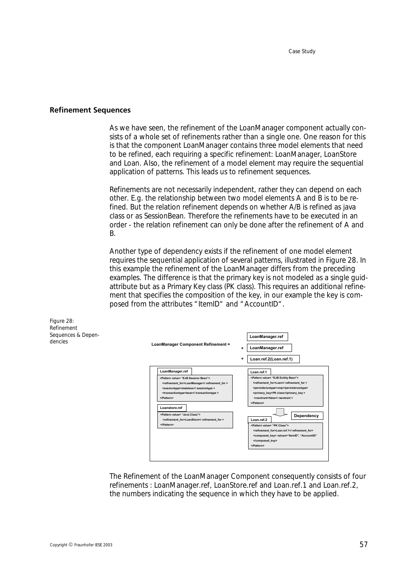#### **Refinement Sequences**

As we have seen, the refinement of the LoanManager component actually consists of a whole set of refinements rather than a single one. One reason for this is that the component LoanManager contains three model elements that need to be refined, each requiring a specific refinement: LoanManager, LoanStore and Loan. Also, the refinement of a model element may require the sequential application of patterns. This leads us to refinement sequences.

Refinements are not necessarily independent, rather they can depend on each other. E.g. the relationship between two model elements A and B is to be refined. But the relation refinement depends on whether A/B is refined as java class or as SessionBean. Therefore the refinements have to be executed in an order - the relation refinement can only be done after the refinement of A and B.

Another type of dependency exists if the refinement of one model element requires the sequential application of several patterns, illustrated in Figure 28. In this example the refinement of the LoanManager differs from the preceding examples. The difference is that the primary key is not modeled as a single guidattribute but as a Primary Key class (PK class). This requires an additional refinement that specifies the composition of the key, in our example the key is composed from the attributes "ItemID" and "AccountID".



The Refinement of the LoanManager Component consequently consists of four refinements : LoanManager.ref, LoanStore.ref and Loan.ref.1 and Loan.ref.2, the numbers indicating the sequence in which they have to be applied.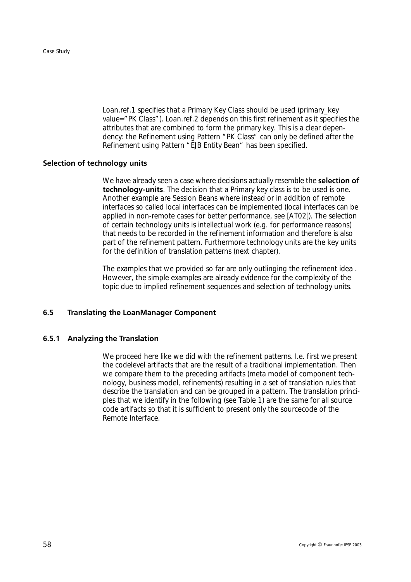Loan.ref.1 specifies that a Primary Key Class should be used (primary\_key value="PK Class"). Loan.ref.2 depends on this first refinement as it specifies the attributes that are combined to form the primary key. This is a clear dependency: the Refinement using Pattern "PK Class" can only be defined after the Refinement using Pattern "EJB Entity Bean" has been specified.

### **Selection of technology units**

We have already seen a case where decisions actually resemble the **selection of technology-units**. The decision that a Primary key class is to be used is one. Another example are Session Beans where instead or in addition of remote interfaces so called local interfaces can be implemented (local interfaces can be applied in non-remote cases for better performance, see [AT02]). The selection of certain technology units is intellectual work (e.g. for performance reasons) that needs to be recorded in the refinement information and therefore is also part of the refinement pattern. Furthermore technology units are the key units for the definition of translation patterns (next chapter).

The examples that we provided so far are only outlinging the refinement idea . However, the simple examples are already evidence for the complexity of the topic due to implied refinement sequences and selection of technology units.

#### **6.5 Translating the LoanManager Component**

#### **6.5.1 Analyzing the Translation**

We proceed here like we did with the refinement patterns. I.e. first we present the codelevel artifacts that are the result of a traditional implementation. Then we compare them to the preceding artifacts (meta model of component technology, business model, refinements) resulting in a set of translation rules that describe the translation and can be grouped in a pattern. The translation principles that we identify in the following (see Table 1) are the same for all source code artifacts so that it is sufficient to present only the sourcecode of the Remote Interface.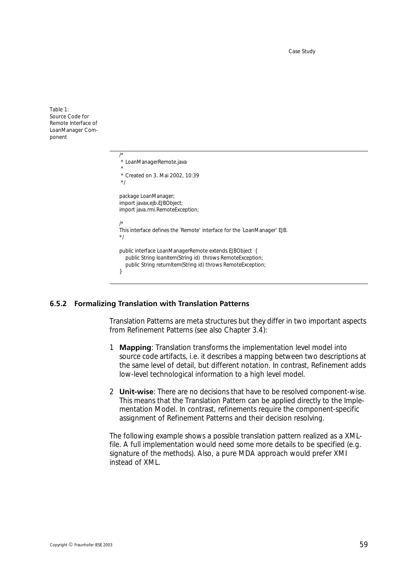Case Study

Table 1: Source Code for Remote Interface of LoanManager Component

```
/*
 * LoanManagerRemote.java
 *
 * Created on 3. Mai 2002, 10:39
 */
package LoanManager;
import javax.ejb.EJBObject;
import java.rmi.RemoteException;
/*
This interface defines the `Remote' interface for the `LoanManager' EJB.
*/
public interface LoanManagerRemote extends EJBObject {
   public String loanItem(String id) throws RemoteException;
  public String returnItem(String id) throws RemoteException;
}
```
#### **6.5.2 Formalizing Translation with Translation Patterns**

Translation Patterns are meta structures but they differ in two important aspects from Refinement Patterns (see also Chapter 3.4):

- 1 **Mapping**: Translation transforms the implementation level model into source code artifacts, i.e. it describes a mapping between two descriptions at the same level of detail, but different notation. In contrast, Refinement adds low-level technological information to a high level model.
- 2 **Unit-wise**: There are no decisions that have to be resolved component-wise. This means that the Translation Pattern can be applied directly to the Implementation Model. In contrast, refinements require the component-specific assignment of Refinement Patterns and their decision resolving.

The following example shows a possible translation pattern realized as a XMLfile. A full implementation would need some more details to be specified (e.g. signature of the methods). Also, a pure MDA approach would prefer XMI instead of XML.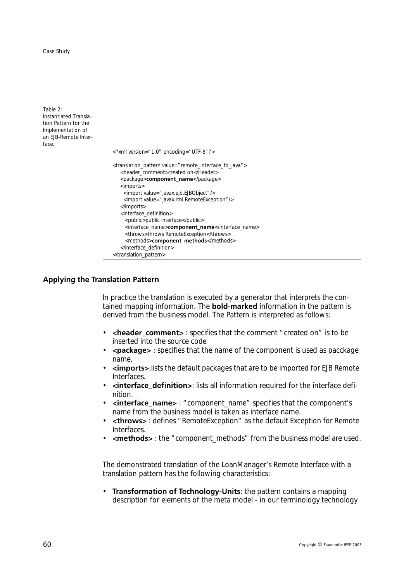Case Study

Table 2:

face.

Instantiated Translation Pattern for the Implementation of an EJB-Remote Inter-<?xml version="1.0" encoding="UTF-8"?> <translation\_pattern value="remote\_interface\_to\_java"> <header\_comment>created on</Header> <package>**component\_name**</package> <imports> <import value="javax.ejb.EJBObject"/> <import value="javax.rmi.RemoteException"/> </imports> <interface\_definition> <public>public interface</public> <interface\_name>**component\_name**</interface\_name> <throws>throws RemoteException</throws> <methods>**component\_methods**</methods> </interface\_definition> </translation\_pattern>

#### **Applying the Translation Pattern**

In practice the translation is executed by a generator that interprets the contained mapping information. The **bold-marked** information in the pattern is derived from the business model. The Pattern is interpreted as follows:

- **<header\_comment>** : specifies that the comment "created on" is to be inserted into the source code
- **<package>** : specifies that the name of the component is used as pacckage name.
- **<imports>**:lists the default packages that are to be imported for EJB Remote Interfaces.
- **<interface\_definition>**: lists all information required for the interface definition.
- **<interface\_name>** : "component\_name" specifies that the component's name from the business model is taken as interface name.
- <throws> : defines "RemoteException" as the default Exception for Remote Interfaces.
- **<methods>** : the "component\_methods" from the business model are used.

The demonstrated translation of the LoanManager's Remote Interface with a translation pattern has the following characteristics:

• **Transformation of Technology-Units**: the pattern contains a mapping description for elements of the meta model - in our terminology technology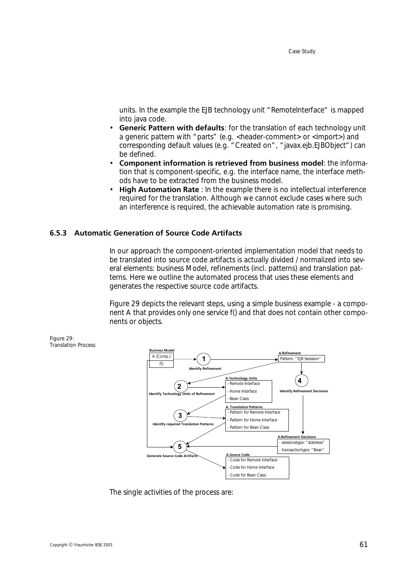units. In the example the EJB technology unit "RemoteInterface" is mapped into java code.

- **Generic Pattern with defaults:** for the translation of each technology unit a generic pattern with "parts" (e.g. <header-comment> or <import>) and corresponding default values (e.g. "Created on", "javax.ejb.EJBObject") can be defined.
- **Component information is retrieved from business model**: the information that is component-specific, e.g. the interface name, the interface methods have to be extracted from the business model.
- **High Automation Rate** : In the example there is no intellectual interference required for the translation. Although we cannot exclude cases where such an interference is required, the achievable automation rate is promising.

#### **6.5.3 Automatic Generation of Source Code Artifacts**

In our approach the component-oriented implementation model that needs to be translated into source code artifacts is actually divided / normalized into several elements: business Model, refinements (incl. patterns) and translation patterns. Here we outline the automated process that uses these elements and generates the respective source code artifacts.

Figure 29 depicts the relevant steps, using a simple business example - a component A that provides only one service f() and that does not contain other components or objects.

Figure 29: Translation Process



The single activities of the process are: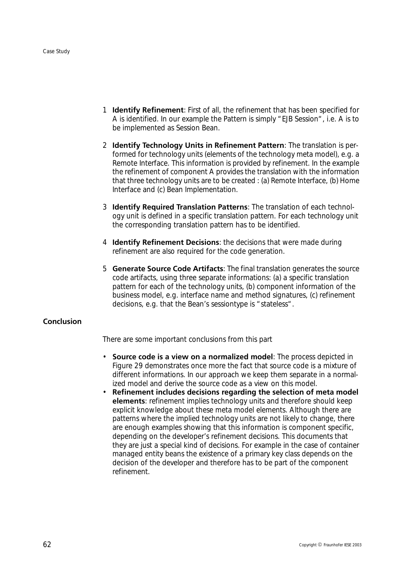- 1 **Identify Refinement**: First of all, the refinement that has been specified for A is identified. In our example the Pattern is simply "EJB Session", i.e. A is to be implemented as Session Bean.
- 2 **Identify Technology Units in Refinement Pattern**: The translation is performed for technology units (elements of the technology meta model), e.g. a Remote Interface. This information is provided by refinement. In the example the refinement of component A provides the translation with the information that three technology units are to be created : (a) Remote Interface, (b) Home Interface and (c) Bean Implementation.
- 3 **Identify Required Translation Patterns**: The translation of each technology unit is defined in a specific translation pattern. For each technology unit the corresponding translation pattern has to be identified.
- 4 **Identify Refinement Decisions**: the decisions that were made during refinement are also required for the code generation.
- 5 **Generate Source Code Artifacts**: The final translation generates the source code artifacts, using three separate informations: (a) a specific translation pattern for each of the technology units, (b) component information of the business model, e.g. interface name and method signatures, (c) refinement decisions, e.g. that the Bean's sessiontype is "stateless".

### **Conclusion**

There are some important conclusions from this part

- **Source code is a view on a normalized model**: The process depicted in Figure 29 demonstrates once more the fact that source code is a mixture of different informations. In our approach we keep them separate in a normalized model and derive the source code as a view on this model.
- **Refinement includes decisions regarding the selection of meta model elements**: refinement implies technology units and therefore should keep explicit knowledge about these meta model elements. Although there are patterns where the implied technology units are not likely to change, there are enough examples showing that this information is component specific, depending on the developer's refinement decisions. This documents that they are just a special kind of decisions. For example in the case of container managed entity beans the existence of a primary key class depends on the decision of the developer and therefore has to be part of the component refinement.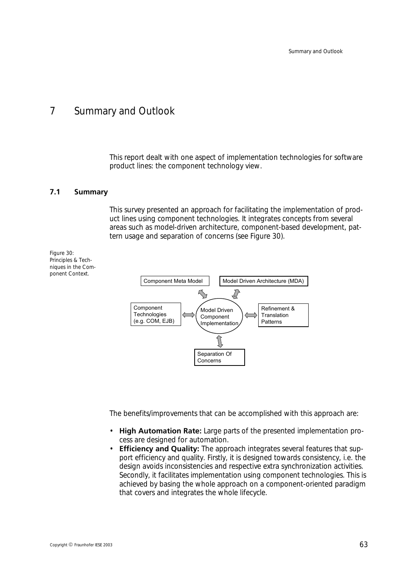# 7 Summary and Outlook

This report dealt with one aspect of implementation technologies for software product lines: the component technology view.

#### **7.1 Summary**

This survey presented an approach for facilitating the implementation of product lines using component technologies. It integrates concepts from several areas such as model-driven architecture, component-based development, pattern usage and separation of concerns (see Figure 30).

Figure 30: Principles & Techniques in the Component Context.



The benefits/improvements that can be accomplished with this approach are:

- **High Automation Rate:** Large parts of the presented implementation process are designed for automation.
- **Efficiency and Quality:** The approach integrates several features that support efficiency and quality. Firstly, it is designed towards consistency, i.e. the design avoids inconsistencies and respective extra synchronization activities. Secondly, it facilitates implementation using component technologies. This is achieved by basing the whole approach on a component-oriented paradigm that covers and integrates the whole lifecycle.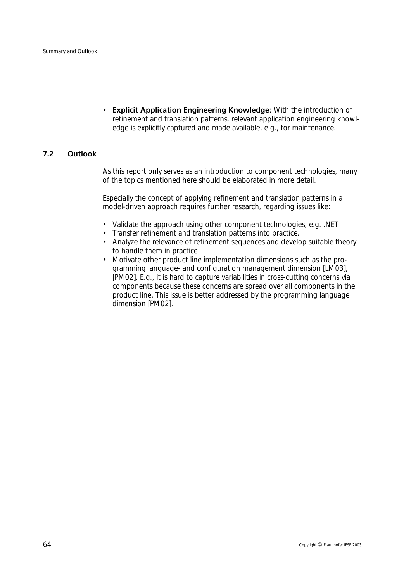• **Explicit Application Engineering Knowledge**: With the introduction of refinement and translation patterns, relevant application engineering knowledge is explicitly captured and made available, e.g., for maintenance.

### **7.2 Outlook**

As this report only serves as an introduction to component technologies, many of the topics mentioned here should be elaborated in more detail.

Especially the concept of applying refinement and translation patterns in a model-driven approach requires further research, regarding issues like:

- Validate the approach using other component technologies, e.g. .NET
- Transfer refinement and translation patterns into practice.
- Analyze the relevance of refinement sequences and develop suitable theory to handle them in practice
- Motivate other product line implementation dimensions such as the programming language- and configuration management dimension [LM03], [PM02]. E.g., it is hard to capture variabilities in cross-cutting concerns via components because these concerns are spread over all components in the product line. This issue is better addressed by the programming language dimension [PM02].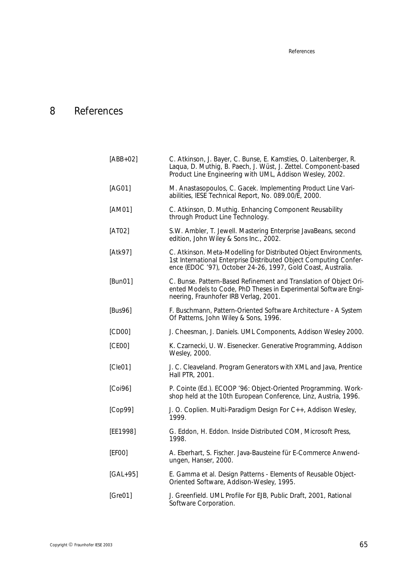References

## 8 References

| $[ABB+O2]$           | C. Atkinson, J. Bayer, C. Bunse, E. Kamsties, O. Laitenberger, R.<br>Laqua, D. Muthig, B. Paech, J. Wüst, J. Zettel. Component-based<br>Product Line Engineering with UML, Addison Wesley, 2002.      |
|----------------------|-------------------------------------------------------------------------------------------------------------------------------------------------------------------------------------------------------|
| [AG01]               | M. Anastasopoulos, C. Gacek. Implementing Product Line Vari-<br>abilities, IESE Technical Report, No. 089.00/E, 2000.                                                                                 |
| [AM01]               | C. Atkinson, D. Muthig. Enhancing Component Reusability<br>through Product Line Technology.                                                                                                           |
| [AT02]               | S.W. Ambler, T. Jewell. Mastering Enterprise JavaBeans, second<br>edition, John Wiley & Sons Inc., 2002.                                                                                              |
| [Atk97]              | C. Atkinson. Meta-Modelling for Distributed Object Environments,<br>1st International Enterprise Distributed Object Computing Confer-<br>ence (EDOC '97), October 24-26, 1997, Gold Coast, Australia. |
| [Bun01]              | C. Bunse. Pattern-Based Refinement and Translation of Object Ori-<br>ented Models to Code, PhD Theses in Experimental Software Engi-<br>neering, Fraunhofer IRB Verlag, 2001.                         |
| [Bus96]              | F. Buschmann, Pattern-Oriented Software Architecture - A System<br>Of Patterns, John Wiley & Sons, 1996.                                                                                              |
| [CD00]               | J. Cheesman, J. Daniels. UML Components, Addison Wesley 2000.                                                                                                                                         |
| [CEOO]               | K. Czarnecki, U. W. Eisenecker. Generative Programming, Addison<br>Wesley, 2000.                                                                                                                      |
| $[C_1]$              | J. C. Cleaveland. Program Generators with XML and Java, Prentice<br>Hall PTR, 2001.                                                                                                                   |
| [Co <sub>1</sub> 96] | P. Cointe (Ed.). ECOOP '96: Object-Oriented Programming. Work-<br>shop held at the 10th European Conference, Linz, Austria, 1996.                                                                     |
| [Copy99]             | J. O. Coplien. Multi-Paradigm Design For C++, Addison Wesley,<br>1999.                                                                                                                                |
| [EE1998]             | G. Eddon, H. Eddon. Inside Distributed COM, Microsoft Press,<br>1998.                                                                                                                                 |
| [EFOO]               | A. Eberhart, S. Fischer. Java-Bausteine für E-Commerce Anwend-<br>ungen, Hanser, 2000.                                                                                                                |
| $[GAL+95]$           | E. Gamma et al. Design Patterns - Elements of Reusable Object-<br>Oriented Software, Addison-Wesley, 1995.                                                                                            |
| [Gre01]              | J. Greenfield. UML Profile For EJB, Public Draft, 2001, Rational<br>Software Corporation.                                                                                                             |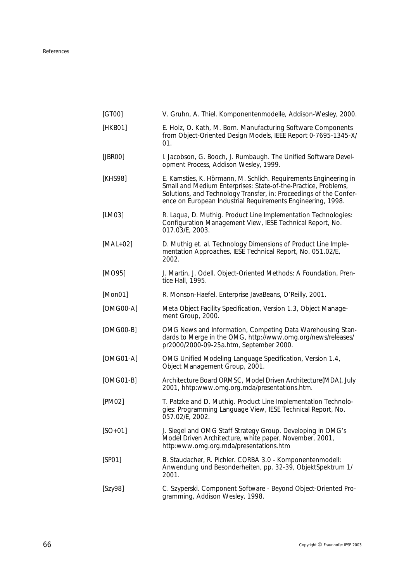| [GTOO]      | V. Gruhn, A. Thiel. Komponentenmodelle, Addison-Wesley, 2000.                                                                                                                                                                                                           |
|-------------|-------------------------------------------------------------------------------------------------------------------------------------------------------------------------------------------------------------------------------------------------------------------------|
| [HKB01]     | E. Holz, O. Kath, M. Born. Manufacturing Software Components<br>from Object-Oriented Design Models, IEEE Report 0-7695-1345-X/<br>01.                                                                                                                                   |
| [JBR00]     | I. Jacobson, G. Booch, J. Rumbaugh. The Unified Software Devel-<br>opment Process, Addison Wesley, 1999.                                                                                                                                                                |
| [KHS98]     | E. Kamsties, K. Hörmann, M. Schlich. Requirements Engineering in<br>Small and Medium Enterprises: State-of-the-Practice, Problems,<br>Solutions, and Technology Transfer, in: Proceedings of the Confer-<br>ence on European Industrial Requirements Engineering, 1998. |
| [LM03]      | R. Laqua, D. Muthig. Product Line Implementation Technologies:<br>Configuration Management View, IESE Technical Report, No.<br>017.03/E, 2003.                                                                                                                          |
| $[MAL+O2]$  | D. Muthig et. al. Technology Dimensions of Product Line Imple-<br>mentation Approaches, IESE Technical Report, No. 051.02/E,<br>2002.                                                                                                                                   |
| [MO95]      | J. Martin, J. Odell. Object-Oriented Methods: A Foundation, Pren-<br>tice Hall, 1995.                                                                                                                                                                                   |
| [Mon01]     | R. Monson-Haefel. Enterprise JavaBeans, O'Reilly, 2001.                                                                                                                                                                                                                 |
| $[OMGOO-A]$ | Meta Object Facility Specification, Version 1.3, Object Manage-<br>ment Group, 2000.                                                                                                                                                                                    |
| $[OMG00-B]$ | OMG News and Information, Competing Data Warehousing Stan-<br>dards to Merge in the OMG, http://www.omg.org/news/releases/<br>pr2000/2000-09-25a.htm, September 2000.                                                                                                   |
| $[OMGO1-A]$ | OMG Unified Modeling Language Specification, Version 1.4,<br>Object Management Group, 2001.                                                                                                                                                                             |
| $[OMGO1-B]$ | Architecture Board ORMSC, Model Driven Architecture(MDA), July<br>2001, hhtp:www.omg.org.mda/presentations.htm.                                                                                                                                                         |
| [PM02]      | T. Patzke and D. Muthig. Product Line Implementation Technolo-<br>gies: Programming Language View, IESE Technical Report, No.<br>057.02/E, 2002.                                                                                                                        |
| $[SO+O1]$   | J. Siegel and OMG Staff Strategy Group. Developing in OMG's<br>Model Driven Architecture, white paper, November, 2001,<br>http:www.omg.org.mda/presentations.htm                                                                                                        |
| [SPO1]      | B. Staudacher, R. Pichler. CORBA 3.0 - Komponentenmodell:<br>Anwendung und Besonderheiten, pp. 32-39, ObjektSpektrum 1/<br>2001.                                                                                                                                        |
| [Szy98]     | C. Szyperski. Component Software - Beyond Object-Oriented Pro-<br>gramming, Addison Wesley, 1998.                                                                                                                                                                       |
|             |                                                                                                                                                                                                                                                                         |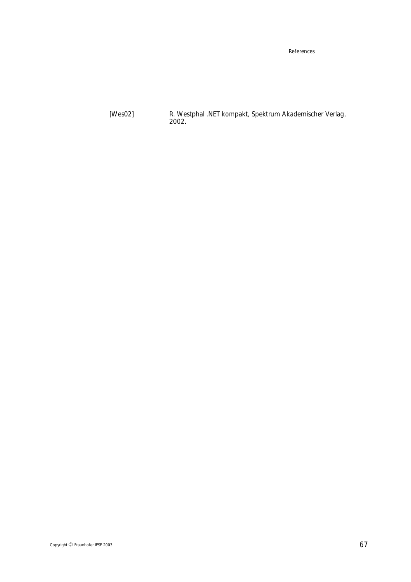References

[Wes02] R. Westphal .NET kompakt, Spektrum Akademischer Verlag, 2002.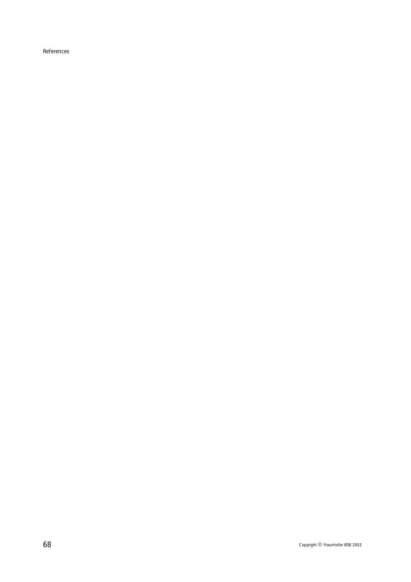References